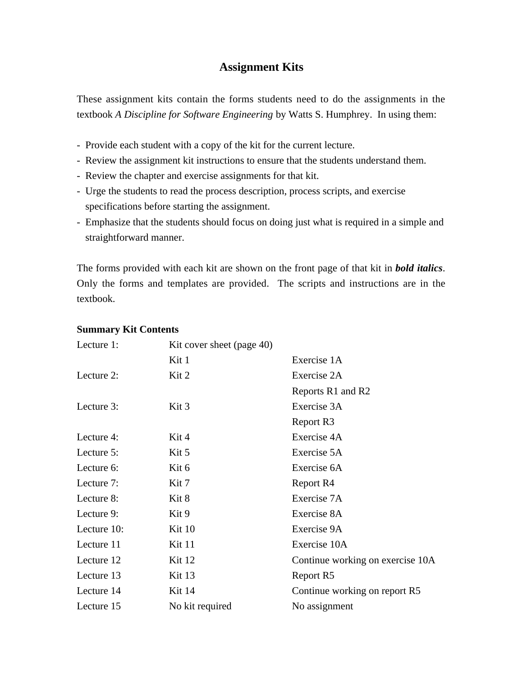These assignment kits contain the forms students need to do the assignments in the textbook *A Discipline for Software Engineering* by Watts S. Humphrey. In using them:

- Provide each student with a copy of the kit for the current lecture.
- Review the assignment kit instructions to ensure that the students understand them.
- Review the chapter and exercise assignments for that kit.
- Urge the students to read the process description, process scripts, and exercise specifications before starting the assignment.
- Emphasize that the students should focus on doing just what is required in a simple and straightforward manner.

The forms provided with each kit are shown on the front page of that kit in *bold italics*. Only the forms and templates are provided. The scripts and instructions are in the textbook.

| Lecture 1:  | Kit cover sheet (page 40) |                                  |
|-------------|---------------------------|----------------------------------|
|             | Kit 1                     | Exercise 1A                      |
| Lecture 2:  | Kit 2                     | Exercise 2A                      |
|             |                           | Reports R1 and R2                |
| Lecture 3:  | Kit 3                     | Exercise 3A                      |
|             |                           | Report R3                        |
| Lecture 4:  | Kit 4                     | Exercise 4A                      |
| Lecture 5:  | Kit 5                     | Exercise 5A                      |
| Lecture 6:  | Kit 6                     | Exercise 6A                      |
| Lecture 7:  | Kit 7                     | Report R4                        |
| Lecture 8:  | Kit 8                     | Exercise 7A                      |
| Lecture 9:  | Kit 9                     | Exercise 8A                      |
| Lecture 10: | Kit 10                    | Exercise 9A                      |
| Lecture 11  | <b>Kit 11</b>             | Exercise 10A                     |
| Lecture 12  | <b>Kit 12</b>             | Continue working on exercise 10A |
| Lecture 13  | <b>Kit 13</b>             | Report R5                        |
| Lecture 14  | <b>Kit 14</b>             | Continue working on report R5    |
| Lecture 15  | No kit required           | No assignment                    |

#### **Summary Kit Contents**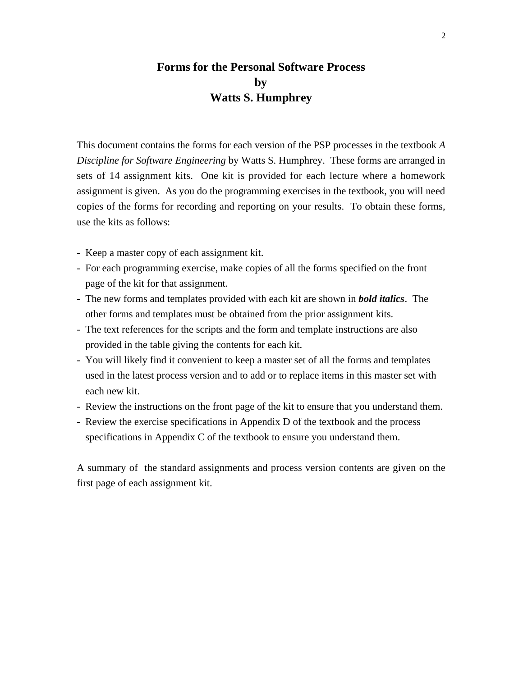### **Forms for the Personal Software Process by Watts S. Humphrey**

This document contains the forms for each version of the PSP processes in the textbook *A Discipline for Software Engineering* by Watts S. Humphrey. These forms are arranged in sets of 14 assignment kits. One kit is provided for each lecture where a homework assignment is given. As you do the programming exercises in the textbook, you will need copies of the forms for recording and reporting on your results. To obtain these forms, use the kits as follows:

- Keep a master copy of each assignment kit.
- For each programming exercise, make copies of all the forms specified on the front page of the kit for that assignment.
- The new forms and templates provided with each kit are shown in *bold italics*. The other forms and templates must be obtained from the prior assignment kits.
- The text references for the scripts and the form and template instructions are also provided in the table giving the contents for each kit.
- You will likely find it convenient to keep a master set of all the forms and templates used in the latest process version and to add or to replace items in this master set with each new kit.
- Review the instructions on the front page of the kit to ensure that you understand them.
- Review the exercise specifications in Appendix D of the textbook and the process specifications in Appendix C of the textbook to ensure you understand them.

A summary of the standard assignments and process version contents are given on the first page of each assignment kit.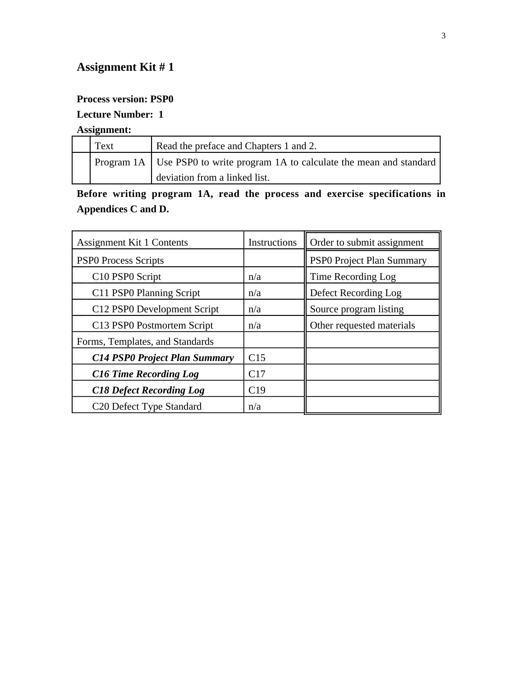#### **Process version: PSP0**

### **Lecture Number: 1**

**Assignment:**

| Text | Read the preface and Chapters 1 and 2.                                       |  |
|------|------------------------------------------------------------------------------|--|
|      | Program 1A   Use PSP0 to write program 1A to calculate the mean and standard |  |
|      | deviation from a linked list.                                                |  |

**Before writing program 1A, read the process and exercise specifications in Appendices C and D.**

| Assignment Kit 1 Contents                          | Instructions | Order to submit assignment |
|----------------------------------------------------|--------------|----------------------------|
| <b>PSPO</b> Process Scripts                        |              | PSP0 Project Plan Summary  |
| C10 PSP0 Script                                    | n/a          | Time Recording Log         |
| C11 PSP0 Planning Script                           | n/a          | Defect Recording Log       |
| C12 PSP0 Development Script                        | n/a          | Source program listing     |
| C <sub>13</sub> PSP <sub>0</sub> Postmortem Script | n/a          | Other requested materials  |
| Forms, Templates, and Standards                    |              |                            |
| <b>C14 PSP0 Project Plan Summary</b>               | C15          |                            |
| <b>C16 Time Recording Log</b>                      | C17          |                            |
| <b>C18 Defect Recording Log</b>                    | C19          |                            |
| C <sub>20</sub> Defect Type Standard               | n/a          |                            |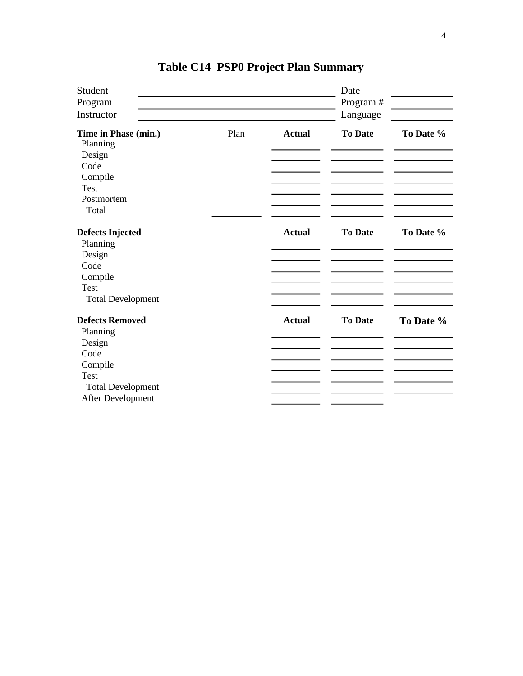| Student                  |      |               | Date                  |           |
|--------------------------|------|---------------|-----------------------|-----------|
| Program<br>Instructor    |      |               | Program #<br>Language |           |
| Time in Phase (min.)     | Plan | <b>Actual</b> | <b>To Date</b>        | To Date % |
| Planning                 |      |               |                       |           |
| Design                   |      |               |                       |           |
| Code                     |      |               |                       |           |
| Compile                  |      |               |                       |           |
| <b>Test</b>              |      |               |                       |           |
| Postmortem               |      |               |                       |           |
| Total                    |      |               |                       |           |
| <b>Defects Injected</b>  |      | <b>Actual</b> | <b>To Date</b>        | To Date % |
| Planning                 |      |               |                       |           |
| Design                   |      |               |                       |           |
| Code                     |      |               |                       |           |
| Compile                  |      |               |                       |           |
| <b>Test</b>              |      |               |                       |           |
| <b>Total Development</b> |      |               |                       |           |
| <b>Defects Removed</b>   |      | <b>Actual</b> | <b>To Date</b>        | To Date % |
| Planning                 |      |               |                       |           |
| Design                   |      |               |                       |           |
| Code                     |      |               |                       |           |
| Compile                  |      |               |                       |           |
| <b>Test</b>              |      |               |                       |           |
| <b>Total Development</b> |      |               |                       |           |
| After Development        |      |               |                       |           |

# **Table C14 PSP0 Project Plan Summary**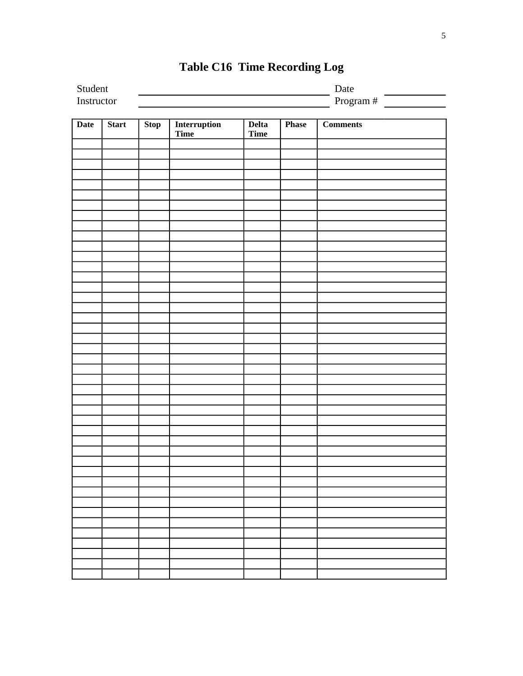| Student     |                                               |             |                      |                             |              | Date            |
|-------------|-----------------------------------------------|-------------|----------------------|-----------------------------|--------------|-----------------|
|             | Program # $\boxed{\phantom{1}}$<br>Instructor |             |                      |                             |              |                 |
| <b>Date</b> | <b>Start</b>                                  | <b>Stop</b> | Interruption<br>Time | <b>Delta</b><br><b>Time</b> | <b>Phase</b> | <b>Comments</b> |
|             |                                               |             |                      |                             |              |                 |
|             |                                               |             |                      |                             |              |                 |
|             |                                               |             |                      |                             |              |                 |
|             |                                               |             |                      |                             |              |                 |
|             |                                               |             |                      |                             |              |                 |
|             |                                               |             |                      |                             |              |                 |
|             |                                               |             |                      |                             |              |                 |
|             |                                               |             |                      |                             |              |                 |
|             |                                               |             |                      |                             |              |                 |
|             |                                               |             |                      |                             |              |                 |
|             |                                               |             |                      |                             |              |                 |
|             |                                               |             |                      |                             |              |                 |
|             |                                               |             |                      |                             |              |                 |
|             |                                               |             |                      |                             |              |                 |
|             |                                               |             |                      |                             |              |                 |
|             |                                               |             |                      |                             |              |                 |
|             |                                               |             |                      |                             |              |                 |
|             |                                               |             |                      |                             |              |                 |
|             |                                               |             |                      |                             |              |                 |
|             |                                               |             |                      |                             |              |                 |
|             |                                               |             |                      |                             |              |                 |
|             |                                               |             |                      |                             |              |                 |
|             |                                               |             |                      |                             |              |                 |
|             |                                               |             |                      |                             |              |                 |
|             |                                               |             |                      |                             |              |                 |
|             |                                               |             |                      |                             |              |                 |
|             |                                               |             |                      |                             |              |                 |
|             |                                               |             |                      |                             |              |                 |
|             |                                               |             |                      |                             |              |                 |
|             |                                               |             |                      |                             |              |                 |
|             |                                               |             |                      |                             |              |                 |
|             |                                               |             |                      |                             |              |                 |
|             |                                               |             |                      |                             |              |                 |

# **Table C16 Time Recording Log**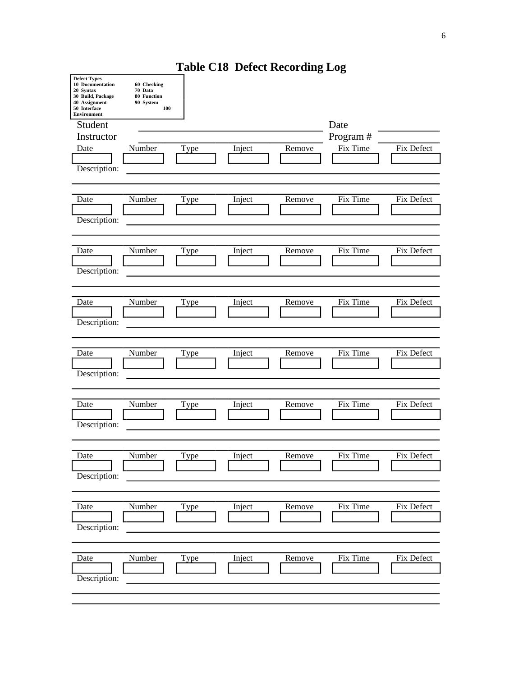| <b>Defect Types</b><br><b>10 Documentation</b><br>20 Syntax<br>30 Build, Package<br>40 Assignment<br>50 Interface<br>Environment | 60 Checking<br>70 Data<br>80 Function<br>90 System<br>100 |             |        |        |                              |            |
|----------------------------------------------------------------------------------------------------------------------------------|-----------------------------------------------------------|-------------|--------|--------|------------------------------|------------|
| Student<br>Instructor<br>Date<br>Description:                                                                                    | Number                                                    | Type        | Inject | Remove | Date<br>Program#<br>Fix Time | Fix Defect |
| Date<br>Description:                                                                                                             | Number                                                    | <b>Type</b> | Inject | Remove | Fix Time                     | Fix Defect |
| Date<br>Description:                                                                                                             | Number                                                    | <b>Type</b> | Inject | Remove | Fix Time                     | Fix Defect |
| Date<br>Description:                                                                                                             | Number                                                    | <b>Type</b> | Inject | Remove | Fix Time                     | Fix Defect |
| Date<br>Description:                                                                                                             | Number                                                    | <b>Type</b> | Inject | Remove | Fix Time                     | Fix Defect |
| Date<br>Description:                                                                                                             | Number                                                    | <b>Type</b> | Inject | Remove | Fix Time                     | Fix Defect |
| Date<br>Description:                                                                                                             | Number                                                    | Type        | Inject | Remove | Fix Time                     | Fix Defect |
| Date<br>Description:                                                                                                             | Number                                                    | Type        | Inject | Remove | Fix Time                     | Fix Defect |
| Date<br>Description:                                                                                                             | Number                                                    | Type        | Inject | Remove | Fix Time                     | Fix Defect |
|                                                                                                                                  |                                                           |             |        |        |                              |            |

**Table C18 Defect Recording Log**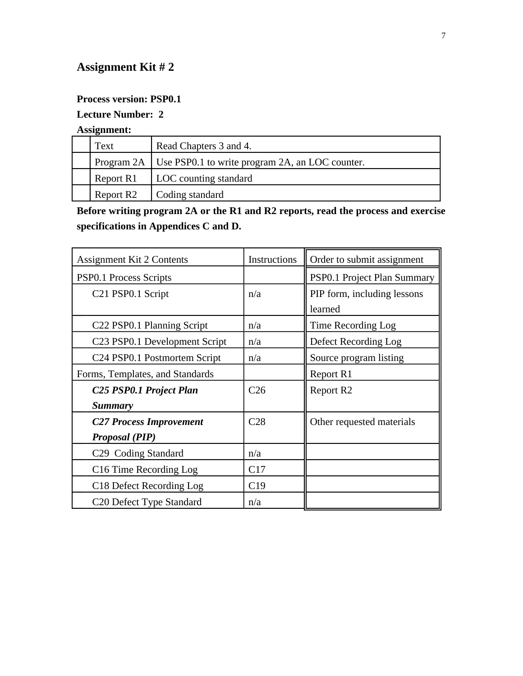#### **Process version: PSP0.1**

### **Lecture Number: 2**

### **Assignment:**

| Text                  | Read Chapters 3 and 4.                                       |
|-----------------------|--------------------------------------------------------------|
|                       | Program 2A   Use PSP0.1 to write program 2A, an LOC counter. |
| Report R1             | LOC counting standard                                        |
| Report R <sub>2</sub> | Coding standard                                              |

**Before writing program 2A or the R1 and R2 reports, read the process and exercise specifications in Appendices C and D.**

| <b>Assignment Kit 2 Contents</b>                      | Instructions    | Order to submit assignment  |
|-------------------------------------------------------|-----------------|-----------------------------|
| PSP0.1 Process Scripts                                |                 | PSP0.1 Project Plan Summary |
| C <sub>21</sub> PSP <sub>0.1</sub> Script             | n/a             | PIP form, including lessons |
|                                                       |                 | learned                     |
| C22 PSP0.1 Planning Script                            | n/a             | Time Recording Log          |
| C <sub>23</sub> PSP <sub>0.1</sub> Development Script | n/a             | Defect Recording Log        |
| C <sub>24</sub> PSP <sub>0.1</sub> Postmortem Script  | n/a             | Source program listing      |
| Forms, Templates, and Standards                       |                 | Report R1                   |
| C <sub>25</sub> PSP0.1 Project Plan                   | C <sub>26</sub> | Report R <sub>2</sub>       |
| <b>Summary</b>                                        |                 |                             |
| <b>C27 Process Improvement</b>                        | C <sub>28</sub> | Other requested materials   |
| <b>Proposal (PIP)</b>                                 |                 |                             |
| C <sub>29</sub> Coding Standard                       | n/a             |                             |
| C16 Time Recording Log                                | C17             |                             |
| C <sub>18</sub> Defect Recording Log                  | C19             |                             |
| C20 Defect Type Standard                              | n/a             |                             |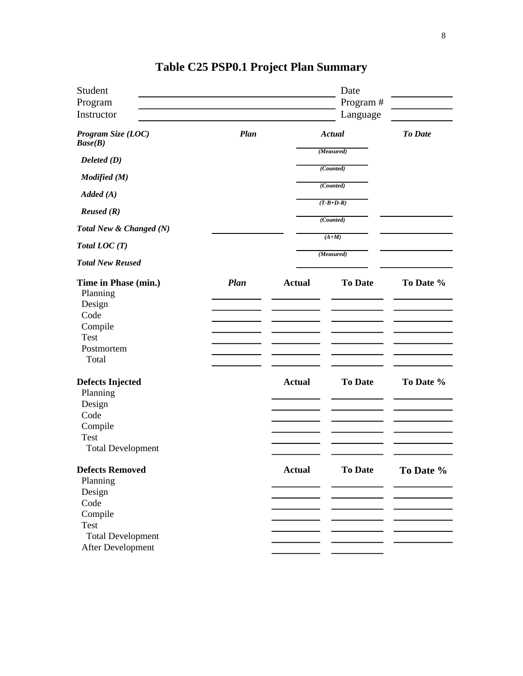| Student                                                                                      |      |               | Date           |                |
|----------------------------------------------------------------------------------------------|------|---------------|----------------|----------------|
| Program                                                                                      |      |               | Program#       |                |
| Instructor                                                                                   |      |               | Language       |                |
| Program Size (LOC)<br>Base(B)                                                                | Plan |               | Actual         | <b>To Date</b> |
| Delta(D)                                                                                     |      |               | (Measured)     |                |
| Modified (M)                                                                                 |      |               | (Counted)      |                |
|                                                                                              |      |               | (Counted)      |                |
| Added(A)                                                                                     |      |               | $(T-B+D-R)$    |                |
| <i>Reused</i> $(R)$                                                                          |      |               | (Counted)      |                |
| Total New & Changed (N)                                                                      |      |               | $(A+M)$        |                |
| Total LOC(T)                                                                                 |      |               | (Measured)     |                |
| <b>Total New Reused</b>                                                                      |      |               |                |                |
| Time in Phase (min.)<br>Planning<br>Design<br>Code<br>Compile<br>Test<br>Postmortem<br>Total | Plan | <b>Actual</b> | <b>To Date</b> | To Date %      |
| <b>Defects Injected</b><br>Planning                                                          |      | <b>Actual</b> | <b>To Date</b> | To Date %      |
| Design                                                                                       |      |               |                |                |
| Code<br>Compile                                                                              |      |               |                |                |
| Test                                                                                         |      |               |                |                |
| <b>Total Development</b>                                                                     |      |               |                |                |
| <b>Defects Removed</b><br>Planning                                                           |      | <b>Actual</b> | <b>To Date</b> | To Date %      |
| Design                                                                                       |      |               |                |                |
| Code                                                                                         |      |               |                |                |
| Compile                                                                                      |      |               |                |                |
| Test                                                                                         |      |               |                |                |
| <b>Total Development</b>                                                                     |      |               |                |                |
| After Development                                                                            |      |               |                |                |

# **Table C25 PSP0.1 Project Plan Summary**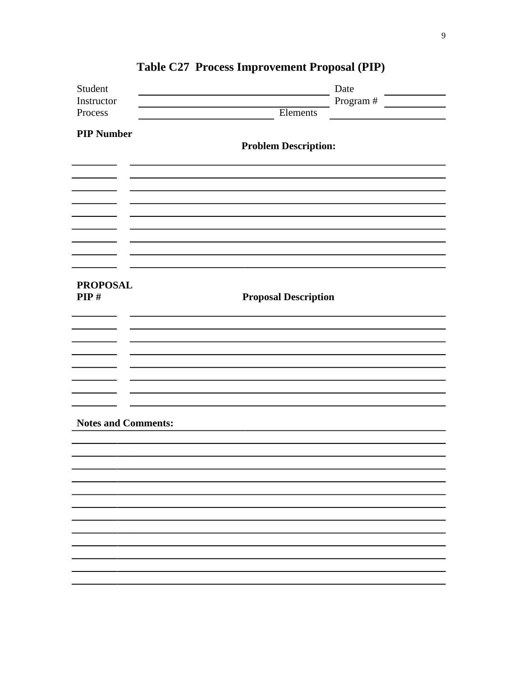| Student                    |                             | Date                        |  |  |
|----------------------------|-----------------------------|-----------------------------|--|--|
| Instructor                 |                             | Program #                   |  |  |
| Process                    | Elements                    |                             |  |  |
| <b>PIP Number</b>          |                             |                             |  |  |
|                            | <b>Problem Description:</b> |                             |  |  |
|                            |                             |                             |  |  |
|                            |                             |                             |  |  |
|                            |                             |                             |  |  |
|                            |                             |                             |  |  |
|                            |                             |                             |  |  |
|                            |                             |                             |  |  |
| <b>PROPOSAL</b>            |                             |                             |  |  |
| PIP#                       |                             | <b>Proposal Description</b> |  |  |
|                            |                             |                             |  |  |
|                            |                             |                             |  |  |
|                            |                             |                             |  |  |
|                            |                             |                             |  |  |
|                            |                             |                             |  |  |
| <b>Notes and Comments:</b> |                             |                             |  |  |
|                            |                             |                             |  |  |
|                            |                             |                             |  |  |
|                            |                             |                             |  |  |
|                            |                             |                             |  |  |
|                            |                             |                             |  |  |
|                            |                             |                             |  |  |
|                            |                             |                             |  |  |
|                            |                             |                             |  |  |
|                            |                             |                             |  |  |
|                            |                             |                             |  |  |

# **Table C27 Process Improvement Proposal (PIP)**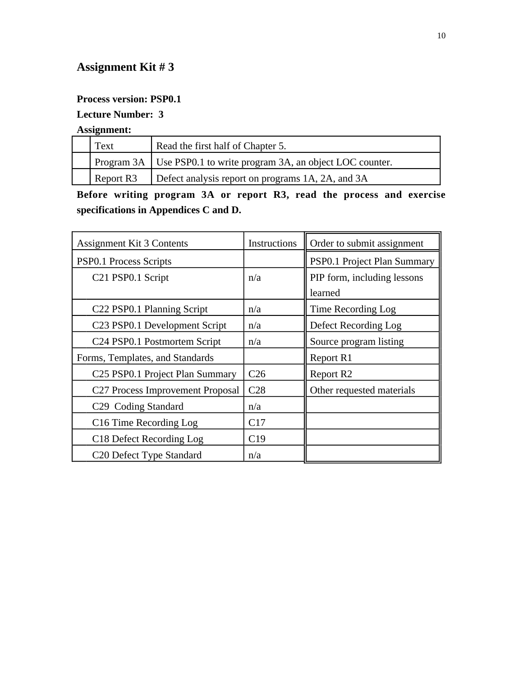#### **Process version: PSP0.1**

#### **Lecture Number: 3**

**Assignment:**

| Text      | Read the first half of Chapter 5.                                   |
|-----------|---------------------------------------------------------------------|
|           | Program 3A   Use PSP0.1 to write program 3A, an object LOC counter. |
| Report R3 | Defect analysis report on programs 1A, 2A, and 3A                   |

**Before writing program 3A or report R3, read the process and exercise specifications in Appendices C and D.**

| <b>Assignment Kit 3 Contents</b>                        | Instructions    | Order to submit assignment             |
|---------------------------------------------------------|-----------------|----------------------------------------|
| PSP0.1 Process Scripts                                  |                 | PSP0.1 Project Plan Summary            |
| C21 PSP0.1 Script                                       | n/a             | PIP form, including lessons<br>learned |
| C22 PSP0.1 Planning Script                              | n/a             | Time Recording Log                     |
| C23 PSP0.1 Development Script                           | n/a             | Defect Recording Log                   |
| C24 PSP0.1 Postmortem Script                            | n/a             | Source program listing                 |
| Forms, Templates, and Standards                         |                 | Report R1                              |
| C <sub>25</sub> PSP <sub>0.1</sub> Project Plan Summary | C <sub>26</sub> | Report R <sub>2</sub>                  |
| C <sub>27</sub> Process Improvement Proposal            | C <sub>28</sub> | Other requested materials              |
| C <sub>29</sub> Coding Standard                         | n/a             |                                        |
| C16 Time Recording Log                                  | C17             |                                        |
| C18 Defect Recording Log                                | C19             |                                        |
| C20 Defect Type Standard                                | n/a             |                                        |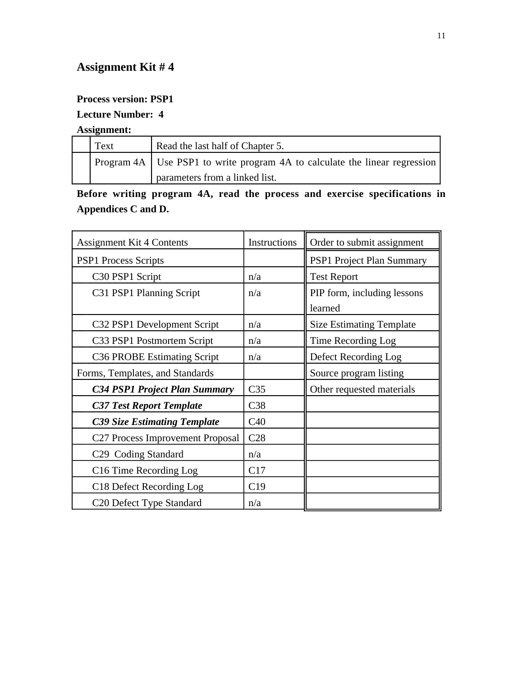### **Process version: PSP1**

### **Lecture Number: 4**

**Assignment:**

| Text | Read the last half of Chapter 5.                                             |
|------|------------------------------------------------------------------------------|
|      | Program 4A   Use PSP1 to write program 4A to calculate the linear regression |
|      | parameters from a linked list.                                               |

**Before writing program 4A, read the process and exercise specifications in Appendices C and D.**

| <b>Assignment Kit 4 Contents</b>             | Instructions    | Order to submit assignment      |
|----------------------------------------------|-----------------|---------------------------------|
| <b>PSP1</b> Process Scripts                  |                 | PSP1 Project Plan Summary       |
| C30 PSP1 Script                              | n/a             | <b>Test Report</b>              |
| C31 PSP1 Planning Script                     | n/a             | PIP form, including lessons     |
|                                              |                 | learned                         |
| C32 PSP1 Development Script                  | n/a             | <b>Size Estimating Template</b> |
| C33 PSP1 Postmortem Script                   | n/a             | Time Recording Log              |
| C36 PROBE Estimating Script                  | n/a             | Defect Recording Log            |
| Forms, Templates, and Standards              |                 | Source program listing          |
| <b>C34 PSP1 Project Plan Summary</b>         | C <sub>35</sub> | Other requested materials       |
| <b>C37 Test Report Template</b>              | C38             |                                 |
| <b>C39 Size Estimating Template</b>          | C40             |                                 |
| C <sub>27</sub> Process Improvement Proposal | C28             |                                 |
| C <sub>29</sub> Coding Standard              | n/a             |                                 |
| C16 Time Recording Log                       | C17             |                                 |
| C <sub>18</sub> Defect Recording Log         | C19             |                                 |
| C <sub>20</sub> Defect Type Standard         | n/a             |                                 |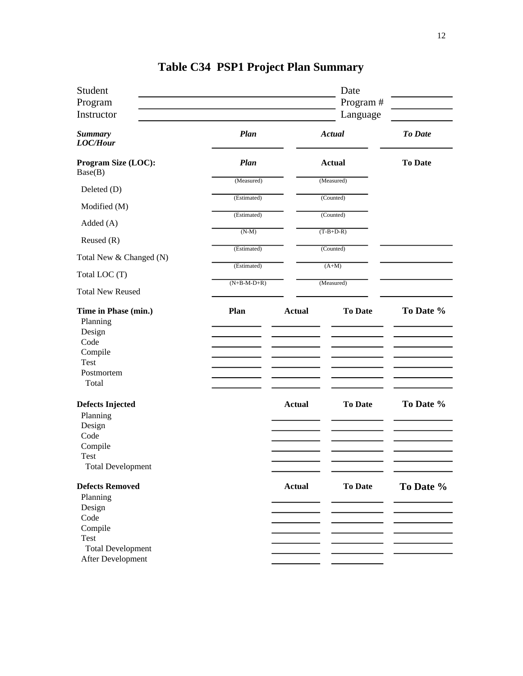| Student                                                                                      |               |               | Date           |                |
|----------------------------------------------------------------------------------------------|---------------|---------------|----------------|----------------|
| Program                                                                                      |               |               | Program #      |                |
| Instructor                                                                                   |               |               | Language       |                |
| <b>Summary</b><br>LOC/Hour                                                                   | Plan          |               | Actual         | To Date        |
| Program Size (LOC):<br>Base(B)                                                               | Plan          |               | <b>Actual</b>  | <b>To Date</b> |
| Deleted (D)                                                                                  | (Measured)    |               | (Measured)     |                |
|                                                                                              | (Estimated)   |               | (Counted)      |                |
| Modified (M)                                                                                 | (Estimated)   |               | (Counted)      |                |
| Added (A)                                                                                    |               |               |                |                |
| Reused $(R)$                                                                                 | $(N-M)$       |               | $(T-B+D-R)$    |                |
|                                                                                              | (Estimated)   |               | (Counted)      |                |
| Total New & Changed (N)                                                                      | (Estimated)   |               |                |                |
| Total LOC (T)                                                                                |               |               | $(A+M)$        |                |
| <b>Total New Reused</b>                                                                      | $(N+B-M-D+R)$ |               | (Measured)     |                |
| Time in Phase (min.)<br>Planning<br>Design<br>Code<br>Compile<br>Test<br>Postmortem<br>Total | Plan          | <b>Actual</b> | <b>To Date</b> | To Date %      |
| <b>Defects Injected</b>                                                                      |               | <b>Actual</b> | <b>To Date</b> | To Date %      |
| Planning                                                                                     |               |               |                |                |
| Design                                                                                       |               |               |                |                |
| Code                                                                                         |               |               |                |                |
| Compile                                                                                      |               |               |                |                |
| Test                                                                                         |               |               |                |                |
| <b>Total Development</b>                                                                     |               |               |                |                |
| <b>Defects Removed</b>                                                                       |               | <b>Actual</b> | To Date        | To Date %      |
| Planning                                                                                     |               |               |                |                |
| Design                                                                                       |               |               |                |                |
| Code                                                                                         |               |               |                |                |
| Compile                                                                                      |               |               |                |                |
| <b>Test</b>                                                                                  |               |               |                |                |
| <b>Total Development</b>                                                                     |               |               |                |                |
| After Development                                                                            |               |               |                |                |

# **Table C34 PSP1 Project Plan Summary**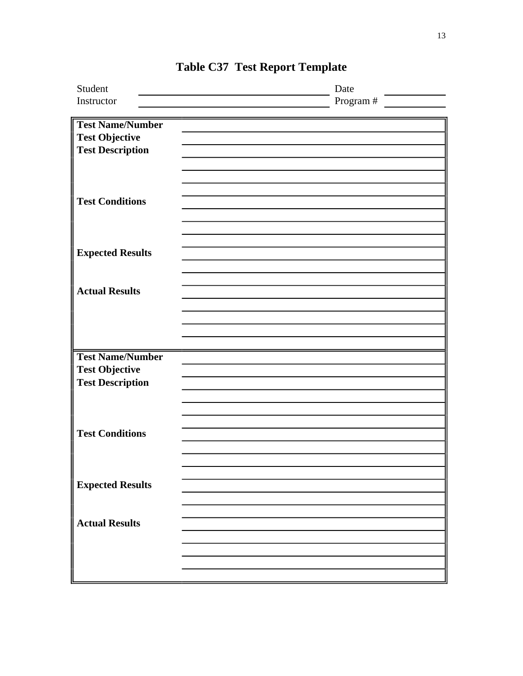| Student<br>Instructor                                                       | Date<br>Program # |
|-----------------------------------------------------------------------------|-------------------|
| <b>Test Name/Number</b><br><b>Test Objective</b><br><b>Test Description</b> |                   |
| <b>Test Conditions</b>                                                      |                   |
| <b>Expected Results</b>                                                     |                   |
| <b>Actual Results</b>                                                       |                   |
|                                                                             |                   |
| <b>Test Name/Number</b><br><b>Test Objective</b><br><b>Test Description</b> |                   |
| <b>Test Conditions</b>                                                      |                   |
| <b>Expected Results</b>                                                     |                   |
| <b>Actual Results</b>                                                       |                   |
|                                                                             |                   |

# **Table C37 Test Report Template**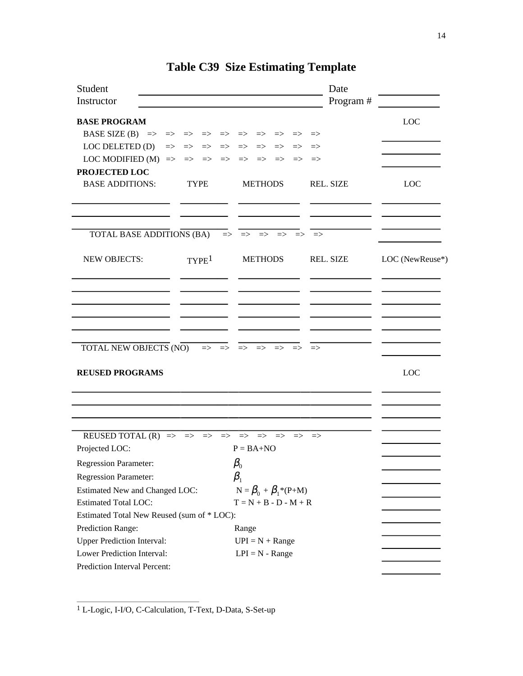| Student<br>Instructor                                                                                                                               |                                                                                                        | Date<br>Program# |                 |
|-----------------------------------------------------------------------------------------------------------------------------------------------------|--------------------------------------------------------------------------------------------------------|------------------|-----------------|
| <b>BASE PROGRAM</b>                                                                                                                                 |                                                                                                        |                  | <b>LOC</b>      |
| BASE SIZE (B) $\Rightarrow \Rightarrow \Rightarrow \Rightarrow \Rightarrow \Rightarrow \Rightarrow \Rightarrow \Rightarrow \Rightarrow \Rightarrow$ |                                                                                                        | $\Rightarrow$    |                 |
| LOC DELETED (D)<br>$\Rightarrow$<br>$\Rightarrow$<br>$\Rightarrow$                                                                                  | $\Rightarrow$<br>$\Rightarrow$<br>$\Rightarrow$ $\Rightarrow$<br>$\Rightarrow$                         | $\Rightarrow$    |                 |
| LOC MODIFIED $(M) \implies \implies \implies$                                                                                                       | $\Rightarrow$ $\Rightarrow$ $\Rightarrow$ $\Rightarrow$                                                | $\Rightarrow$    |                 |
| PROJECTED LOC                                                                                                                                       |                                                                                                        |                  |                 |
| <b>BASE ADDITIONS:</b><br><b>TYPE</b>                                                                                                               | <b>METHODS</b>                                                                                         | <b>REL. SIZE</b> | LOC             |
| TOTAL BASE ADDITIONS (BA)                                                                                                                           | $\Rightarrow \Rightarrow \Rightarrow \Rightarrow \Rightarrow$<br>$\Rightarrow$                         | $\Rightarrow$    |                 |
| <b>NEW OBJECTS:</b><br>TYPE <sup>1</sup>                                                                                                            | <b>METHODS</b>                                                                                         | REL. SIZE        | LOC (NewReuse*) |
| TOTAL NEW OBJECTS (NO)<br><b>REUSED PROGRAMS</b>                                                                                                    | $\Rightarrow \Rightarrow \Rightarrow \Rightarrow \Rightarrow \Rightarrow \Rightarrow$<br>$\Rightarrow$ |                  | LOC             |
| Projected LOC:                                                                                                                                      | $P = BA + NO$                                                                                          | $\Rightarrow$    |                 |
| <b>Regression Parameter:</b>                                                                                                                        | $\pmb{\beta}_0$                                                                                        |                  |                 |
| <b>Regression Parameter:</b>                                                                                                                        | $\beta_{1}$                                                                                            |                  |                 |
| <b>Estimated New and Changed LOC:</b>                                                                                                               | $N = \beta_0 + \beta_1 * (P + M)$                                                                      |                  |                 |
| <b>Estimated Total LOC:</b>                                                                                                                         | $T = N + B - D - M + R$                                                                                |                  |                 |
| Estimated Total New Reused (sum of * LOC):                                                                                                          |                                                                                                        |                  |                 |
| Prediction Range:                                                                                                                                   | Range                                                                                                  |                  |                 |
| <b>Upper Prediction Interval:</b>                                                                                                                   | $UPI = N + Range$                                                                                      |                  |                 |
| Lower Prediction Interval:                                                                                                                          | $LPI = N - Range$                                                                                      |                  |                 |
| Prediction Interval Percent:                                                                                                                        |                                                                                                        |                  |                 |
|                                                                                                                                                     |                                                                                                        |                  |                 |

## **Table C39 Size Estimating Template**

1 L-Logic, I-I/O, C-Calculation, T-Text, D-Data, S-Set-up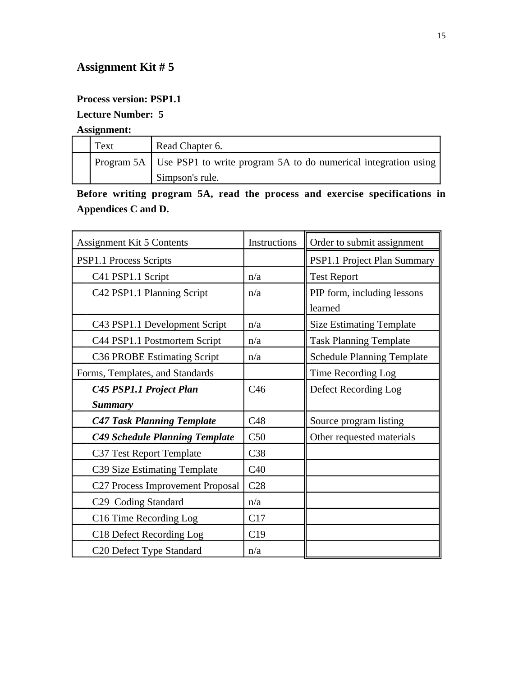#### **Process version: PSP1.1**

### **Lecture Number: 5**

**Assignment:**

| Text | Read Chapter 6.                                                             |
|------|-----------------------------------------------------------------------------|
|      | Program 5A   Use PSP1 to write program 5A to do numerical integration using |
|      | Simpson's rule.                                                             |

**Before writing program 5A, read the process and exercise specifications in Appendices C and D.**

| Assignment Kit 5 Contents             | Instructions    | Order to submit assignment        |
|---------------------------------------|-----------------|-----------------------------------|
| PSP1.1 Process Scripts                |                 | PSP1.1 Project Plan Summary       |
| C41 PSP1.1 Script                     | n/a             | <b>Test Report</b>                |
| C42 PSP1.1 Planning Script            | n/a             | PIP form, including lessons       |
|                                       |                 | learned                           |
| C43 PSP1.1 Development Script         | n/a             | <b>Size Estimating Template</b>   |
| C44 PSP1.1 Postmortem Script          | n/a             | <b>Task Planning Template</b>     |
| C36 PROBE Estimating Script           | n/a             | <b>Schedule Planning Template</b> |
| Forms, Templates, and Standards       |                 | Time Recording Log                |
| C45 PSP1.1 Project Plan               | C46             | Defect Recording Log              |
| <b>Summary</b>                        |                 |                                   |
| <b>C47 Task Planning Template</b>     | C48             | Source program listing            |
| <b>C49 Schedule Planning Template</b> | C50             | Other requested materials         |
| C37 Test Report Template              | C38             |                                   |
| C39 Size Estimating Template          | C40             |                                   |
| C27 Process Improvement Proposal      | C <sub>28</sub> |                                   |
| C29 Coding Standard                   | n/a             |                                   |
| C16 Time Recording Log                | C17             |                                   |
| C18 Defect Recording Log              | C19             |                                   |
| C20 Defect Type Standard              | n/a             |                                   |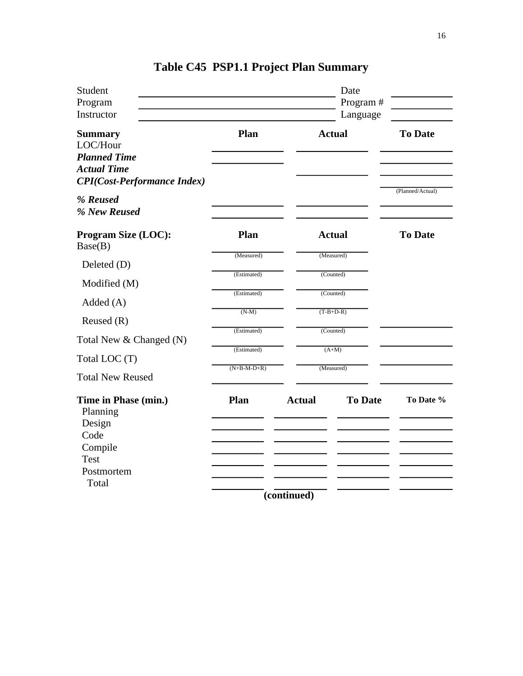| Student<br>Program<br>Instructor                                        |                            |               | Date<br>Program#<br>Language |                  |
|-------------------------------------------------------------------------|----------------------------|---------------|------------------------------|------------------|
| <b>Summary</b><br>LOC/Hour<br><b>Planned Time</b><br><b>Actual Time</b> | Plan                       | <b>Actual</b> |                              | <b>To Date</b>   |
| <b>CPI(Cost-Performance Index)</b><br>% Reused                          |                            |               |                              | (Planned/Actual) |
| % New Reused                                                            |                            |               |                              |                  |
| <b>Program Size (LOC):</b><br>Base(B)                                   | Plan                       | <b>Actual</b> |                              | <b>To Date</b>   |
| Deleted (D)                                                             | (Measured)                 |               | (Measured)                   |                  |
| Modified (M)                                                            | (Estimated)                |               | (Counted)                    |                  |
| $\text{Added}\left(\text{A}\right)$                                     | (Estimated)                | (Counted)     |                              |                  |
| Reused $(R)$                                                            | $(N-M)$                    |               | $(T-B+D-R)$                  |                  |
| Total New & Changed (N)                                                 | (Estimated)<br>(Estimated) | $(A+M)$       | (Counted)                    |                  |
| Total LOC (T)                                                           |                            |               |                              |                  |
| <b>Total New Reused</b>                                                 | $(N+B-M-D+R)$              |               | (Measured)                   |                  |
| Time in Phase (min.)<br>Planning<br>Design<br>Code                      | Plan                       | <b>Actual</b> | <b>To Date</b>               | To Date %        |
| Compile                                                                 |                            |               |                              |                  |
| Test                                                                    |                            |               |                              |                  |
| Postmortem                                                              |                            |               |                              |                  |
| Total                                                                   |                            |               |                              |                  |
|                                                                         |                            | (continued)   |                              |                  |

# **Table C45 PSP1.1 Project Plan Summary**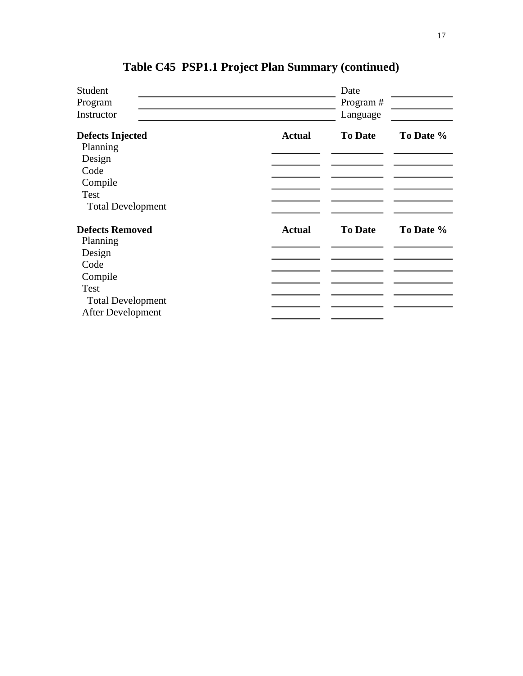| Student<br>Program<br>Instructor                     |               | Date<br>Program#<br>Language |           |
|------------------------------------------------------|---------------|------------------------------|-----------|
| <b>Defects Injected</b><br>Planning                  | <b>Actual</b> | <b>To Date</b>               | To Date % |
| Design<br>Code<br>Compile                            |               |                              |           |
| Test<br><b>Total Development</b>                     |               |                              |           |
| <b>Defects Removed</b><br>Planning<br>Design<br>Code | <b>Actual</b> | <b>To Date</b>               | To Date % |
| Compile<br><b>Test</b><br><b>Total Development</b>   |               |                              |           |
| After Development                                    |               |                              |           |

# **Table C45 PSP1.1 Project Plan Summary (continued)**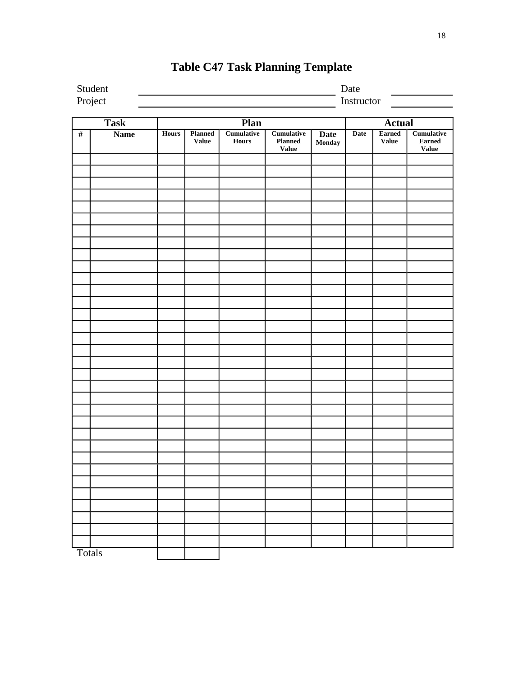|                | Student<br>Date       |              |                                |                                   |                                                     |                       |               |                               |                                                    |
|----------------|-----------------------|--------------|--------------------------------|-----------------------------------|-----------------------------------------------------|-----------------------|---------------|-------------------------------|----------------------------------------------------|
|                | Project<br>Instructor |              |                                |                                   |                                                     |                       |               |                               |                                                    |
|                |                       |              |                                |                                   |                                                     |                       |               |                               |                                                    |
|                | <b>Task</b>           |              |                                | Plan                              |                                                     |                       | <b>Actual</b> |                               |                                                    |
| $\overline{t}$ | <b>Name</b>           | <b>Hours</b> | <b>Planned</b><br><b>Value</b> | <b>Cumulative</b><br><b>Hours</b> | <b>Cumulative</b><br><b>Planned</b><br><b>Value</b> | <b>Date</b><br>Monday | <b>Date</b>   | <b>Earned</b><br><b>Value</b> | <b>Cumulative</b><br><b>Earned</b><br><b>Value</b> |
|                |                       |              |                                |                                   |                                                     |                       |               |                               |                                                    |
|                |                       |              |                                |                                   |                                                     |                       |               |                               |                                                    |
|                |                       |              |                                |                                   |                                                     |                       |               |                               |                                                    |
|                |                       |              |                                |                                   |                                                     |                       |               |                               |                                                    |
|                |                       |              |                                |                                   |                                                     |                       |               |                               |                                                    |
|                |                       |              |                                |                                   |                                                     |                       |               |                               |                                                    |
|                |                       |              |                                |                                   |                                                     |                       |               |                               |                                                    |
|                |                       |              |                                |                                   |                                                     |                       |               |                               |                                                    |
|                |                       |              |                                |                                   |                                                     |                       |               |                               |                                                    |
|                |                       |              |                                |                                   |                                                     |                       |               |                               |                                                    |
|                |                       |              |                                |                                   |                                                     |                       |               |                               |                                                    |
|                |                       |              |                                |                                   |                                                     |                       |               |                               |                                                    |
|                |                       |              |                                |                                   |                                                     |                       |               |                               |                                                    |
|                |                       |              |                                |                                   |                                                     |                       |               |                               |                                                    |
|                |                       |              |                                |                                   |                                                     |                       |               |                               |                                                    |
|                |                       |              |                                |                                   |                                                     |                       |               |                               |                                                    |
|                |                       |              |                                |                                   |                                                     |                       |               |                               |                                                    |
|                |                       |              |                                |                                   |                                                     |                       |               |                               |                                                    |
|                |                       |              |                                |                                   |                                                     |                       |               |                               |                                                    |
|                |                       |              |                                |                                   |                                                     |                       |               |                               |                                                    |
|                |                       |              |                                |                                   |                                                     |                       |               |                               |                                                    |
|                |                       |              |                                |                                   |                                                     |                       |               |                               |                                                    |
|                |                       |              |                                |                                   |                                                     |                       |               |                               |                                                    |
|                |                       |              |                                |                                   |                                                     |                       |               |                               |                                                    |
|                |                       |              |                                |                                   |                                                     |                       |               |                               |                                                    |
|                |                       |              |                                |                                   |                                                     |                       |               |                               |                                                    |
|                |                       |              |                                |                                   |                                                     |                       |               |                               |                                                    |
|                |                       |              |                                |                                   |                                                     |                       |               |                               |                                                    |
|                |                       |              |                                |                                   |                                                     |                       |               |                               |                                                    |
|                |                       |              |                                |                                   |                                                     |                       |               |                               |                                                    |
|                |                       |              |                                |                                   |                                                     |                       |               |                               |                                                    |
|                |                       |              |                                |                                   |                                                     |                       |               |                               |                                                    |
| Totals         |                       |              |                                |                                   |                                                     |                       |               |                               |                                                    |

# **Table C47 Task Planning Template**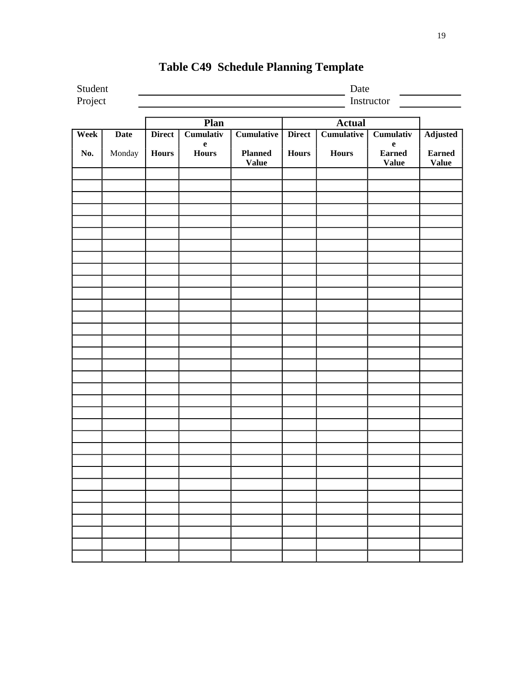|             | Student<br>Date<br>Project<br>Instructor |               |                             |                                |               |                                    |                                    |                               |
|-------------|------------------------------------------|---------------|-----------------------------|--------------------------------|---------------|------------------------------------|------------------------------------|-------------------------------|
|             |                                          |               |                             |                                |               |                                    |                                    |                               |
| <b>Week</b> | <b>Date</b>                              | <b>Direct</b> | Plan<br>Cumulativ           | <b>Cumulative</b>              | <b>Direct</b> | <b>Actual</b><br><b>Cumulative</b> | Cumulativ                          | Adjusted                      |
| No.         | Monday                                   | Hours         | $\mathbf e$<br><b>Hours</b> | <b>Planned</b><br><b>Value</b> | <b>Hours</b>  | <b>Hours</b>                       | e<br><b>Earned</b><br><b>Value</b> | <b>Earned</b><br><b>Value</b> |
|             |                                          |               |                             |                                |               |                                    |                                    |                               |
|             |                                          |               |                             |                                |               |                                    |                                    |                               |
|             |                                          |               |                             |                                |               |                                    |                                    |                               |
|             |                                          |               |                             |                                |               |                                    |                                    |                               |
|             |                                          |               |                             |                                |               |                                    |                                    |                               |
|             |                                          |               |                             |                                |               |                                    |                                    |                               |
|             |                                          |               |                             |                                |               |                                    |                                    |                               |
|             |                                          |               |                             |                                |               |                                    |                                    |                               |
|             |                                          |               |                             |                                |               |                                    |                                    |                               |
|             |                                          |               |                             |                                |               |                                    |                                    |                               |
|             |                                          |               |                             |                                |               |                                    |                                    |                               |
|             |                                          |               |                             |                                |               |                                    |                                    |                               |
|             |                                          |               |                             |                                |               |                                    |                                    |                               |
|             |                                          |               |                             |                                |               |                                    |                                    |                               |
|             |                                          |               |                             |                                |               |                                    |                                    |                               |
|             |                                          |               |                             |                                |               |                                    |                                    |                               |
|             |                                          |               |                             |                                |               |                                    |                                    |                               |
|             |                                          |               |                             |                                |               |                                    |                                    |                               |
|             |                                          |               |                             |                                |               |                                    |                                    |                               |
|             |                                          |               |                             |                                |               |                                    |                                    |                               |
|             |                                          |               |                             |                                |               |                                    |                                    |                               |
|             |                                          |               |                             |                                |               |                                    |                                    |                               |
|             |                                          |               |                             |                                |               |                                    |                                    |                               |
|             |                                          |               |                             |                                |               |                                    |                                    |                               |
|             |                                          |               |                             |                                |               |                                    |                                    |                               |
|             |                                          |               |                             |                                |               |                                    |                                    |                               |
|             |                                          |               |                             |                                |               |                                    |                                    |                               |
|             |                                          |               |                             |                                |               |                                    |                                    |                               |
|             |                                          |               |                             |                                |               |                                    |                                    |                               |
|             |                                          |               |                             |                                |               |                                    |                                    |                               |
|             |                                          |               |                             |                                |               |                                    |                                    |                               |
|             |                                          |               |                             |                                |               |                                    |                                    |                               |

# **Table C49 Schedule Planning Template**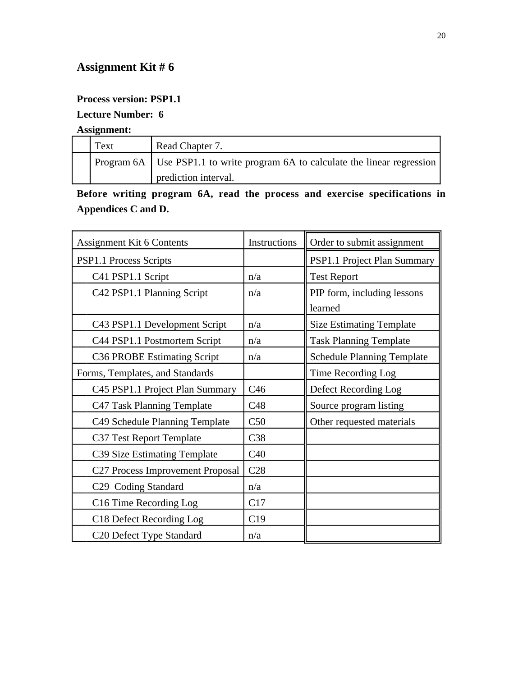#### **Process version: PSP1.1**

### **Lecture Number: 6**

**Assignment:**

| Text | Read Chapter 7.                                                                |
|------|--------------------------------------------------------------------------------|
|      | Program 6A   Use PSP1.1 to write program 6A to calculate the linear regression |
|      | prediction interval.                                                           |

**Before writing program 6A, read the process and exercise specifications in Appendices C and D.**

| Assignment Kit 6 Contents        | Instructions | Order to submit assignment                                                                                                             |  |
|----------------------------------|--------------|----------------------------------------------------------------------------------------------------------------------------------------|--|
| PSP1.1 Process Scripts           |              | PSP1.1 Project Plan Summary                                                                                                            |  |
| C41 PSP1.1 Script                | n/a          | <b>Test Report</b>                                                                                                                     |  |
| C42 PSP1.1 Planning Script       | n/a          | PIP form, including lessons<br>learned                                                                                                 |  |
| C43 PSP1.1 Development Script    | n/a          | <b>Size Estimating Template</b>                                                                                                        |  |
| C44 PSP1.1 Postmortem Script     | n/a          | <b>Task Planning Template</b>                                                                                                          |  |
| C36 PROBE Estimating Script      | n/a          | <b>Schedule Planning Template</b><br>Time Recording Log<br>Defect Recording Log<br>Source program listing<br>Other requested materials |  |
| Forms, Templates, and Standards  |              |                                                                                                                                        |  |
| C45 PSP1.1 Project Plan Summary  | C46          |                                                                                                                                        |  |
| C47 Task Planning Template       | C48          |                                                                                                                                        |  |
| C49 Schedule Planning Template   | C50          |                                                                                                                                        |  |
| C37 Test Report Template         | C38          |                                                                                                                                        |  |
| C39 Size Estimating Template     | C40          |                                                                                                                                        |  |
| C27 Process Improvement Proposal | C28          |                                                                                                                                        |  |
| C29 Coding Standard              | n/a          |                                                                                                                                        |  |
| C16 Time Recording Log           | C17          |                                                                                                                                        |  |
| C18 Defect Recording Log         | C19          |                                                                                                                                        |  |
| C20 Defect Type Standard         | n/a          |                                                                                                                                        |  |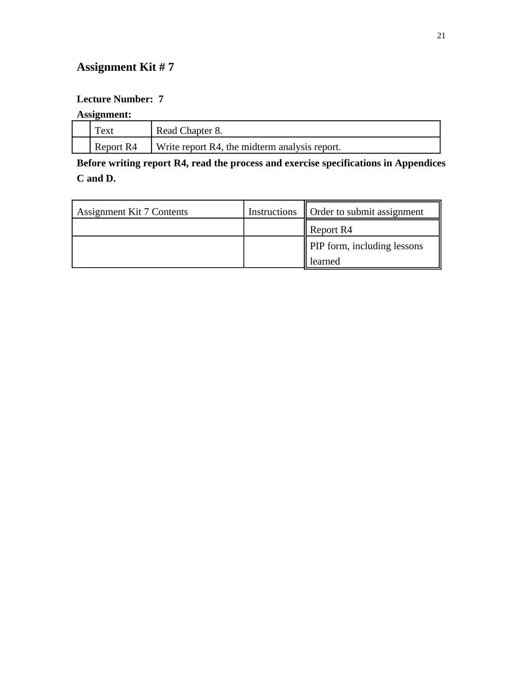#### **Lecture Number: 7**

### **Assignment:**

| Text      | Read Chapter 8.                               |
|-----------|-----------------------------------------------|
| Report R4 | Write report R4, the midterm analysis report. |

**Before writing report R4, read the process and exercise specifications in Appendices C and D.**

| Instructions<br>Assignment Kit 7 Contents |  | Order to submit assignment         |  |  |  |  |
|-------------------------------------------|--|------------------------------------|--|--|--|--|
|                                           |  | Report $R4$                        |  |  |  |  |
|                                           |  | <b>PIP</b> form, including lessons |  |  |  |  |
|                                           |  | learned                            |  |  |  |  |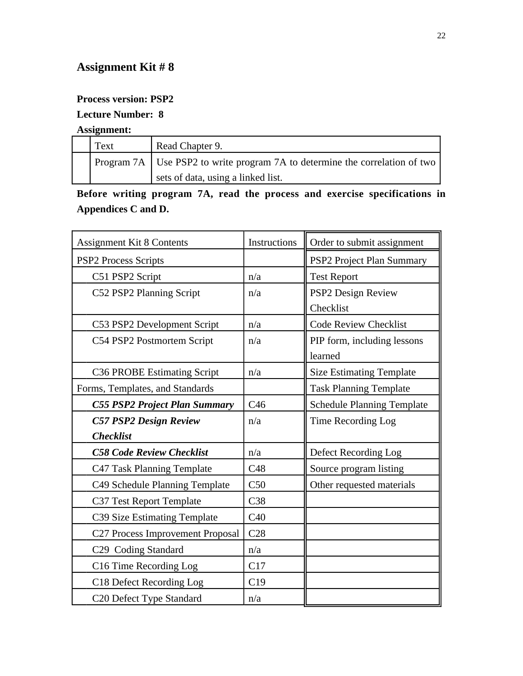#### **Process version: PSP2**

### **Lecture Number: 8**

**Assignment:**

| Text | Read Chapter 9.                                                               |
|------|-------------------------------------------------------------------------------|
|      | Program 7A   Use PSP2 to write program 7A to determine the correlation of two |
|      | sets of data, using a linked list.                                            |

**Before writing program 7A, read the process and exercise specifications in Appendices C and D.**

| <b>Assignment Kit 8 Contents</b>     | <b>Instructions</b> | Order to submit assignment        |  |
|--------------------------------------|---------------------|-----------------------------------|--|
| <b>PSP2</b> Process Scripts          |                     | PSP2 Project Plan Summary         |  |
| C51 PSP2 Script                      | n/a                 | <b>Test Report</b>                |  |
| C52 PSP2 Planning Script             | n/a                 | PSP2 Design Review                |  |
|                                      |                     | Checklist                         |  |
| C53 PSP2 Development Script          | n/a                 | <b>Code Review Checklist</b>      |  |
| C54 PSP2 Postmortem Script           | n/a                 | PIP form, including lessons       |  |
|                                      |                     | learned                           |  |
| C36 PROBE Estimating Script          | n/a                 | <b>Size Estimating Template</b>   |  |
| Forms, Templates, and Standards      |                     | <b>Task Planning Template</b>     |  |
| <b>C55 PSP2 Project Plan Summary</b> | C46                 | <b>Schedule Planning Template</b> |  |
| <b>C57 PSP2 Design Review</b>        | n/a                 | Time Recording Log                |  |
| <b>Checklist</b>                     |                     |                                   |  |
| <b>C58 Code Review Checklist</b>     | n/a                 | Defect Recording Log              |  |
| C47 Task Planning Template           | C48                 | Source program listing            |  |
| C49 Schedule Planning Template       | C50                 | Other requested materials         |  |
| C37 Test Report Template             | C <sub>38</sub>     |                                   |  |
| C39 Size Estimating Template         | C40                 |                                   |  |
| C27 Process Improvement Proposal     | C28                 |                                   |  |
| C29 Coding Standard                  | n/a                 |                                   |  |
| C16 Time Recording Log               | C17                 |                                   |  |
| C18 Defect Recording Log             | C19                 |                                   |  |
| C20 Defect Type Standard             | n/a                 |                                   |  |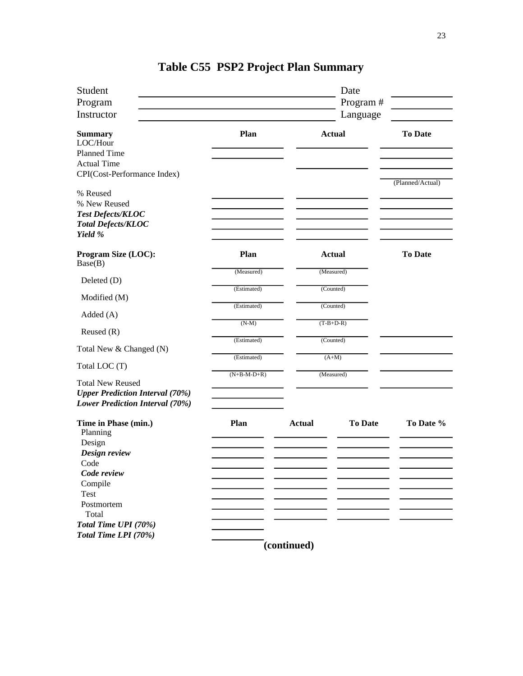| Student<br>Program<br>Instructor                                                                                                    |                        |               | Date<br>Program#<br>Language |                  |
|-------------------------------------------------------------------------------------------------------------------------------------|------------------------|---------------|------------------------------|------------------|
| <b>Summary</b><br>LOC/Hour<br><b>Planned Time</b>                                                                                   | Plan                   |               | <b>Actual</b>                | <b>To Date</b>   |
| <b>Actual Time</b><br>CPI(Cost-Performance Index)                                                                                   |                        |               |                              | (Planned/Actual) |
| % Reused<br>% New Reused<br><b>Test Defects/KLOC</b><br><b>Total Defects/KLOC</b><br>Yield %                                        |                        |               |                              |                  |
| Program Size (LOC):<br>Base(B)                                                                                                      | Plan                   |               | <b>Actual</b>                | <b>To Date</b>   |
| Deleted (D)                                                                                                                         | (Measured)             |               | (Measured)                   |                  |
| Modified (M)                                                                                                                        | (Estimated)            | (Counted)     |                              |                  |
| Added $(A)$                                                                                                                         | (Estimated)            | (Counted)     |                              |                  |
| Reused $(R)$                                                                                                                        | $(N-M)$<br>(Estimated) |               | $(T-B+D-R)$<br>(Counted)     |                  |
| Total New & Changed (N)                                                                                                             | (Estimated)            |               | $(A+M)$                      |                  |
| Total LOC (T)                                                                                                                       | $(N+B-M-D+R)$          |               | (Measured)                   |                  |
| <b>Total New Reused</b><br><b>Upper Prediction Interval (70%)</b><br><b>Lower Prediction Interval (70%)</b>                         |                        |               |                              |                  |
| Time in Phase (min.)<br>Planning<br>Design<br>Design review<br>Code<br>Code review<br>Compile<br><b>Test</b><br>Postmortem<br>Total | Plan                   | <b>Actual</b> | <b>To Date</b>               | To Date %        |
| Total Time UPI (70%)<br>Total Time LPI (70%)                                                                                        |                        |               |                              |                  |
|                                                                                                                                     |                        | (continued)   |                              |                  |

# **Table C55 PSP2 Project Plan Summary**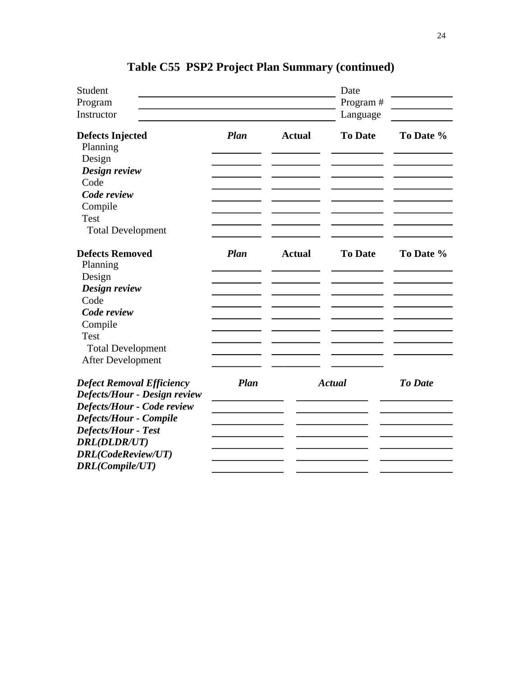| Student<br>Program<br>Instructor                                                                                                                                                                                |      |               | Date<br>Program#<br>Language |                |
|-----------------------------------------------------------------------------------------------------------------------------------------------------------------------------------------------------------------|------|---------------|------------------------------|----------------|
| <b>Defects Injected</b><br>Planning<br>Design<br>Design review<br>Code                                                                                                                                          | Plan | <b>Actual</b> | <b>To Date</b>               | To Date %      |
| Code review<br>Compile<br>Test<br><b>Total Development</b>                                                                                                                                                      |      |               |                              |                |
| <b>Defects Removed</b><br>Planning<br>Design<br>Design review<br>Code<br>Code review<br>Compile<br><b>Test</b><br><b>Total Development</b><br><b>After Development</b>                                          | Plan | <b>Actual</b> | <b>To Date</b>               | To Date %      |
| <b>Defect Removal Efficiency</b><br>Defects/Hour - Design review<br>Defects/Hour - Code review<br>Defects/Hour - Compile<br><b>Defects/Hour - Test</b><br>DRL(DLDR/UT)<br>DRL(CodeReview/UT)<br>DRL(Compile/UT) | Plan |               | <b>Actual</b>                | <b>To Date</b> |

# **Table C55 PSP2 Project Plan Summary (continued)**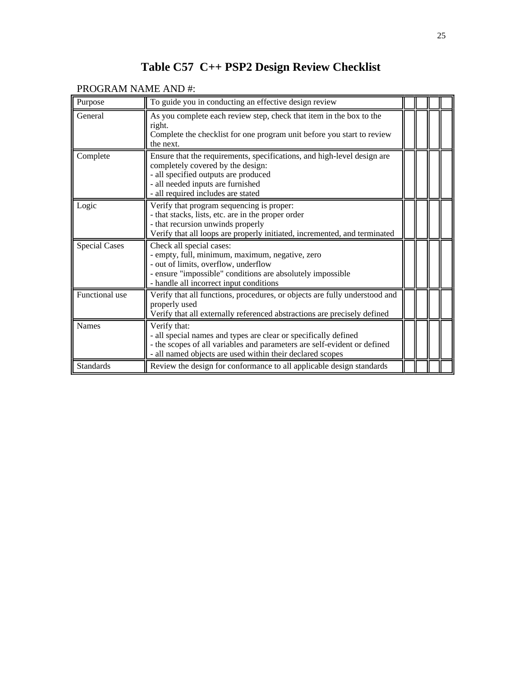## **Table C57 C++ PSP2 Design Review Checklist**

#### PROGRAM NAME AND #:

| Purpose              | To guide you in conducting an effective design review                                                                                                                                                                           |  |  |
|----------------------|---------------------------------------------------------------------------------------------------------------------------------------------------------------------------------------------------------------------------------|--|--|
| General              | As you complete each review step, check that item in the box to the<br>right.<br>Complete the checklist for one program unit before you start to review<br>the next.                                                            |  |  |
| Complete             | Ensure that the requirements, specifications, and high-level design are<br>completely covered by the design:<br>- all specified outputs are produced<br>- all needed inputs are furnished<br>- all required includes are stated |  |  |
| Logic                | Verify that program sequencing is proper:<br>- that stacks, lists, etc. are in the proper order<br>- that recursion unwinds properly<br>Verify that all loops are properly initiated, incremented, and terminated               |  |  |
| <b>Special Cases</b> | Check all special cases:<br>- empty, full, minimum, maximum, negative, zero<br>- out of limits, overflow, underflow<br>- ensure "impossible" conditions are absolutely impossible<br>- handle all incorrect input conditions    |  |  |
| Functional use       | Verify that all functions, procedures, or objects are fully understood and<br>properly used<br>Verify that all externally referenced abstractions are precisely defined                                                         |  |  |
| <b>Names</b>         | Verify that:<br>- all special names and types are clear or specifically defined<br>- the scopes of all variables and parameters are self-evident or defined<br>- all named objects are used within their declared scopes        |  |  |
| <b>Standards</b>     | Review the design for conformance to all applicable design standards                                                                                                                                                            |  |  |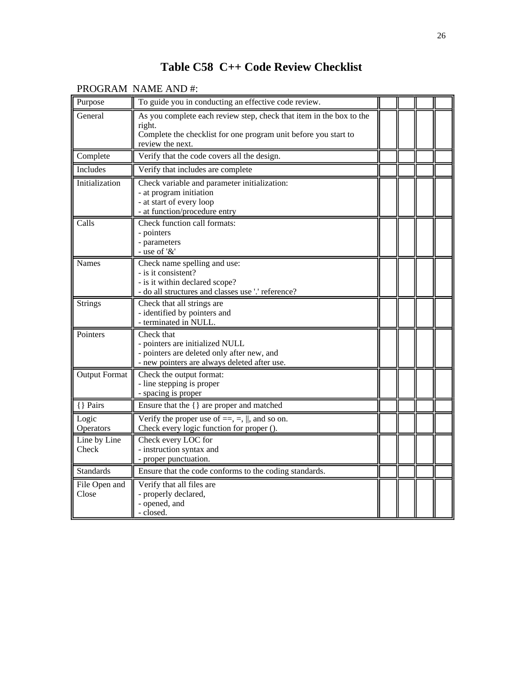### **Table C58 C++ Code Review Checklist**

| Purpose                | To guide you in conducting an effective code review.                                                                                                                 |  |  |
|------------------------|----------------------------------------------------------------------------------------------------------------------------------------------------------------------|--|--|
| General                | As you complete each review step, check that item in the box to the<br>right.<br>Complete the checklist for one program unit before you start to<br>review the next. |  |  |
| Complete               | Verify that the code covers all the design.                                                                                                                          |  |  |
| <b>Includes</b>        | Verify that includes are complete                                                                                                                                    |  |  |
| Initialization         | Check variable and parameter initialization:<br>- at program initiation<br>- at start of every loop<br>- at function/procedure entry                                 |  |  |
| Calls                  | Check function call formats:<br>- pointers<br>- parameters<br>- use of '&'                                                                                           |  |  |
| <b>Names</b>           | Check name spelling and use:<br>- is it consistent?<br>- is it within declared scope?<br>- do all structures and classes use '.' reference?                          |  |  |
| <b>Strings</b>         | Check that all strings are<br>- identified by pointers and<br>- terminated in NULL.                                                                                  |  |  |
| Pointers               | Check that<br>- pointers are initialized NULL<br>- pointers are deleted only after new, and<br>- new pointers are always deleted after use.                          |  |  |
| <b>Output Format</b>   | Check the output format:<br>- line stepping is proper<br>- spacing is proper                                                                                         |  |  |
| {} Pairs               | Ensure that the { } are proper and matched                                                                                                                           |  |  |
| Logic<br>Operators     | Verify the proper use of $==, =, \parallel$ , and so on.<br>Check every logic function for proper ().                                                                |  |  |
| Line by Line<br>Check  | Check every LOC for<br>- instruction syntax and<br>- proper punctuation.                                                                                             |  |  |
| <b>Standards</b>       | Ensure that the code conforms to the coding standards.                                                                                                               |  |  |
| File Open and<br>Close | Verify that all files are<br>- properly declared,<br>- opened, and<br>- closed.                                                                                      |  |  |

### PROGRAM NAME AND #: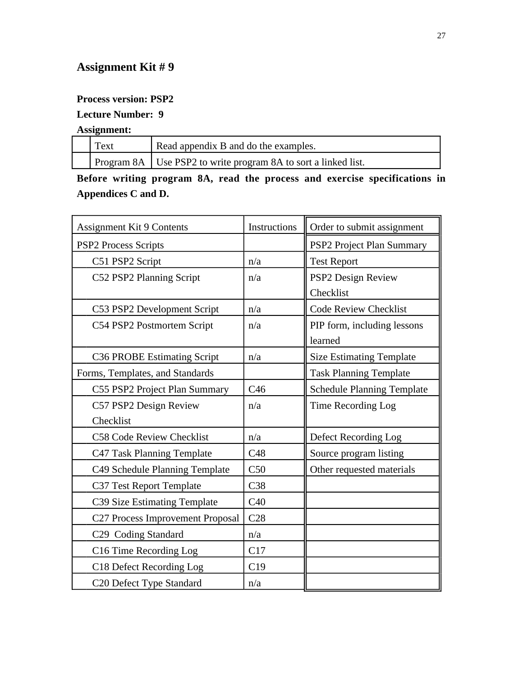#### **Process version: PSP2**

### **Lecture Number: 9**

**Assignment:**

| Text | Read appendix B and do the examples.                             |
|------|------------------------------------------------------------------|
|      | Program 8A   Use PSP2 to write program 8A to sort a linked list. |

**Before writing program 8A, read the process and exercise specifications in Appendices C and D.**

| <b>Assignment Kit 9 Contents</b> | Instructions    | Order to submit assignment                                                                                                                                                                                                                                     |  |
|----------------------------------|-----------------|----------------------------------------------------------------------------------------------------------------------------------------------------------------------------------------------------------------------------------------------------------------|--|
| <b>PSP2</b> Process Scripts      |                 | PSP2 Project Plan Summary                                                                                                                                                                                                                                      |  |
| C51 PSP2 Script                  | n/a             | <b>Test Report</b><br>PSP2 Design Review<br>Checklist<br><b>Code Review Checklist</b><br>PIP form, including lessons<br>learned<br><b>Size Estimating Template</b><br><b>Task Planning Template</b><br><b>Schedule Planning Template</b><br>Time Recording Log |  |
| C52 PSP2 Planning Script         | n/a             |                                                                                                                                                                                                                                                                |  |
|                                  |                 |                                                                                                                                                                                                                                                                |  |
| C53 PSP2 Development Script      | n/a             |                                                                                                                                                                                                                                                                |  |
| C54 PSP2 Postmortem Script       | n/a             |                                                                                                                                                                                                                                                                |  |
|                                  |                 |                                                                                                                                                                                                                                                                |  |
| C36 PROBE Estimating Script      | n/a             |                                                                                                                                                                                                                                                                |  |
| Forms, Templates, and Standards  |                 |                                                                                                                                                                                                                                                                |  |
| C55 PSP2 Project Plan Summary    | C46             |                                                                                                                                                                                                                                                                |  |
| C57 PSP2 Design Review           | n/a             |                                                                                                                                                                                                                                                                |  |
| Checklist                        |                 |                                                                                                                                                                                                                                                                |  |
| C58 Code Review Checklist        | n/a             | Defect Recording Log                                                                                                                                                                                                                                           |  |
| C47 Task Planning Template       | C48             | Source program listing                                                                                                                                                                                                                                         |  |
| C49 Schedule Planning Template   | C50             | Other requested materials                                                                                                                                                                                                                                      |  |
| C37 Test Report Template         | C <sub>38</sub> |                                                                                                                                                                                                                                                                |  |
| C39 Size Estimating Template     | C40             |                                                                                                                                                                                                                                                                |  |
| C27 Process Improvement Proposal | C28             |                                                                                                                                                                                                                                                                |  |
| C29 Coding Standard              | n/a             |                                                                                                                                                                                                                                                                |  |
| C16 Time Recording Log           | C17             |                                                                                                                                                                                                                                                                |  |
| C18 Defect Recording Log         | C19             |                                                                                                                                                                                                                                                                |  |
| C20 Defect Type Standard         | n/a             |                                                                                                                                                                                                                                                                |  |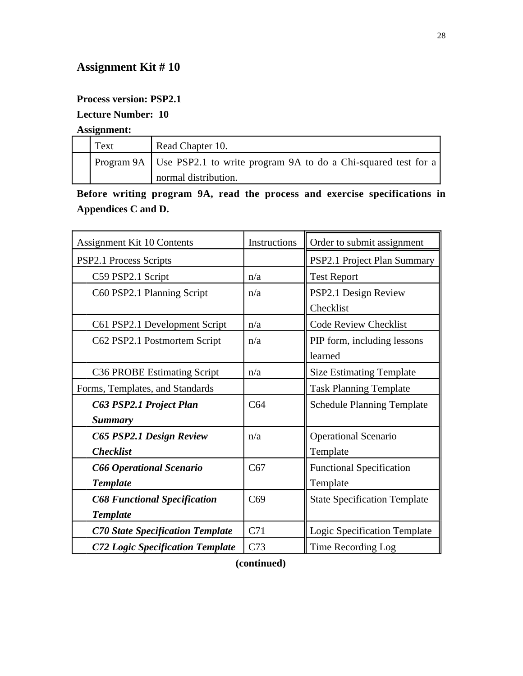#### **Process version: PSP2.1**

#### **Lecture Number: 10**

**Assignment:**

| Text | Read Chapter 10.                                                           |
|------|----------------------------------------------------------------------------|
|      | Program 9A   Use PSP2.1 to write program 9A to do a Chi-squared test for a |
|      | normal distribution.                                                       |

**Before writing program 9A, read the process and exercise specifications in Appendices C and D.**

| Assignment Kit 10 Contents              | Instructions | Order to submit assignment          |
|-----------------------------------------|--------------|-------------------------------------|
| PSP2.1 Process Scripts                  |              | PSP2.1 Project Plan Summary         |
| C59 PSP2.1 Script                       | n/a          | <b>Test Report</b>                  |
| C60 PSP2.1 Planning Script              | n/a          | PSP2.1 Design Review                |
|                                         |              | Checklist                           |
| C61 PSP2.1 Development Script           | n/a          | <b>Code Review Checklist</b>        |
| C62 PSP2.1 Postmortem Script            | n/a          | PIP form, including lessons         |
|                                         |              | learned                             |
| C36 PROBE Estimating Script             | n/a          | <b>Size Estimating Template</b>     |
| Forms, Templates, and Standards         |              | <b>Task Planning Template</b>       |
| C63 PSP2.1 Project Plan                 | C64          | <b>Schedule Planning Template</b>   |
| <b>Summary</b>                          |              |                                     |
| C65 PSP2.1 Design Review                | n/a          | <b>Operational Scenario</b>         |
| <b>Checklist</b>                        |              | Template                            |
| <b>C66 Operational Scenario</b>         | C67          | <b>Functional Specification</b>     |
| <b>Template</b>                         |              | Template                            |
| <b>C68 Functional Specification</b>     | C69          | <b>State Specification Template</b> |
| <b>Template</b>                         |              |                                     |
| <b>C70 State Specification Template</b> | C71          | Logic Specification Template        |
| <b>C72 Logic Specification Template</b> | C73          | Time Recording Log                  |

**(continued)**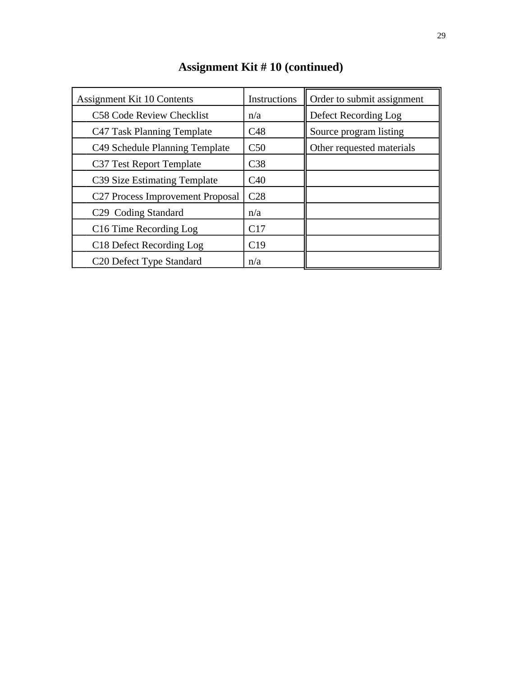| Assignment Kit 10 Contents                   | Instructions    | Order to submit assignment |
|----------------------------------------------|-----------------|----------------------------|
| C58 Code Review Checklist                    | n/a             | Defect Recording Log       |
| C47 Task Planning Template                   | C48             | Source program listing     |
| C49 Schedule Planning Template               | C50             | Other requested materials  |
| C37 Test Report Template                     | C <sub>38</sub> |                            |
| C39 Size Estimating Template                 | C40             |                            |
| C <sub>27</sub> Process Improvement Proposal | C <sub>28</sub> |                            |
| C <sub>29</sub> Coding Standard              | n/a             |                            |
| C <sub>16</sub> Time Recording Log           | C17             |                            |
| C <sub>18</sub> Defect Recording Log         | C19             |                            |
| C <sub>20</sub> Defect Type Standard         | n/a             |                            |

# **Assignment Kit # 10 (continued)**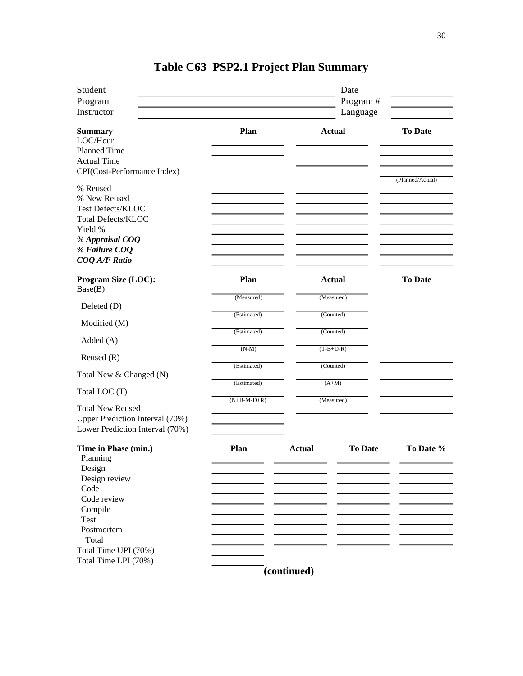| Student<br>Program<br>Instructor                                                                                                                                                    |  |                        |                          | Date<br>Program#<br>Language |                  |
|-------------------------------------------------------------------------------------------------------------------------------------------------------------------------------------|--|------------------------|--------------------------|------------------------------|------------------|
| <b>Summary</b><br>LOC/Hour<br><b>Planned Time</b>                                                                                                                                   |  | Plan                   | <b>Actual</b>            |                              | <b>To Date</b>   |
| <b>Actual Time</b><br>CPI(Cost-Performance Index)                                                                                                                                   |  |                        |                          |                              |                  |
| % Reused<br>% New Reused<br>Test Defects/KLOC<br><b>Total Defects/KLOC</b><br>Yield %<br>% Appraisal COQ<br>% Failure COQ<br><b>COQ A/F Ratio</b>                                   |  |                        |                          |                              | (Planned/Actual) |
| Program Size (LOC):<br>Base(B)                                                                                                                                                      |  | Plan                   |                          | <b>Actual</b>                | <b>To Date</b>   |
| Deleted (D)                                                                                                                                                                         |  | (Measured)             |                          | (Measured)                   |                  |
| Modified (M)                                                                                                                                                                        |  | (Estimated)            | (Counted)                |                              |                  |
|                                                                                                                                                                                     |  | (Estimated)            | (Counted)                |                              |                  |
| Added $(A)$                                                                                                                                                                         |  | $(N-M)$                | $(T-B+D-R)$<br>(Counted) |                              |                  |
| Reused $(R)$                                                                                                                                                                        |  | (Estimated)            |                          |                              |                  |
| Total New & Changed (N)                                                                                                                                                             |  | (Estimated)<br>$(A+M)$ |                          |                              |                  |
| Total LOC (T)                                                                                                                                                                       |  | $(N+B-M-D+R)$          | (Measured)               |                              |                  |
| <b>Total New Reused</b><br>Upper Prediction Interval (70%)<br>Lower Prediction Interval (70%)                                                                                       |  |                        |                          |                              |                  |
| Time in Phase (min.)<br>Planning<br>Design<br>Design review<br>Code<br>Code review<br>Compile<br><b>Test</b><br>Postmortem<br>Total<br>Total Time UPI (70%)<br>Total Time LPI (70%) |  | Plan                   | <b>Actual</b>            | <b>To Date</b>               | To Date %        |
|                                                                                                                                                                                     |  |                        | (continued)              |                              |                  |

# **Table C63 PSP2.1 Project Plan Summary**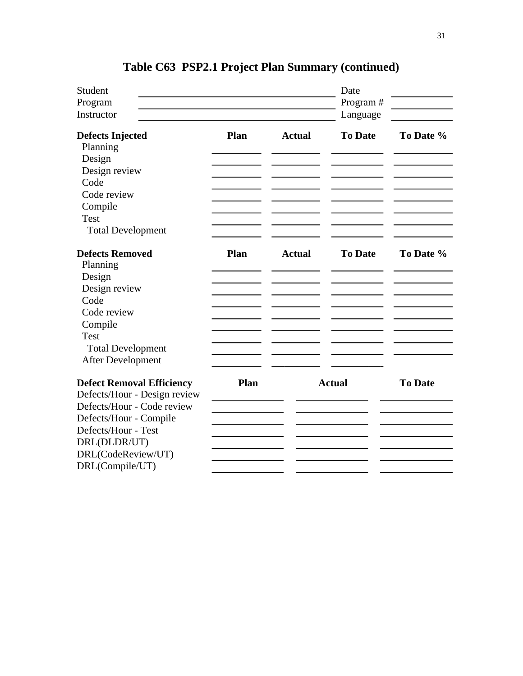| Student<br>Program<br>Instructor                                 |             |               | Date<br>Program#<br>Language |                |
|------------------------------------------------------------------|-------------|---------------|------------------------------|----------------|
| <b>Defects Injected</b><br>Planning<br>Design                    | <b>Plan</b> | <b>Actual</b> | <b>To Date</b>               | To Date %      |
| Design review                                                    |             |               |                              |                |
| Code                                                             |             |               |                              |                |
| Code review<br>Compile                                           |             |               |                              |                |
| <b>Test</b><br><b>Total Development</b>                          |             |               |                              |                |
| <b>Defects Removed</b><br>Planning                               | <b>Plan</b> | <b>Actual</b> | <b>To Date</b>               | To Date %      |
| Design                                                           |             |               |                              |                |
| Design review                                                    |             |               |                              |                |
| Code                                                             |             |               |                              |                |
| Code review                                                      |             |               |                              |                |
| Compile<br><b>Test</b>                                           |             |               |                              |                |
| <b>Total Development</b><br>After Development                    |             |               |                              |                |
| <b>Defect Removal Efficiency</b><br>Defects/Hour - Design review | <b>Plan</b> |               | <b>Actual</b>                | <b>To Date</b> |
| Defects/Hour - Code review                                       |             |               |                              |                |
| Defects/Hour - Compile                                           |             |               |                              |                |
| Defects/Hour - Test                                              |             |               |                              |                |
| DRL(DLDR/UT)                                                     |             |               |                              |                |
| DRL(CodeReview/UT)                                               |             |               |                              |                |
| DRL(Compile/UT)                                                  |             |               |                              |                |

# **Table C63 PSP2.1 Project Plan Summary (continued)**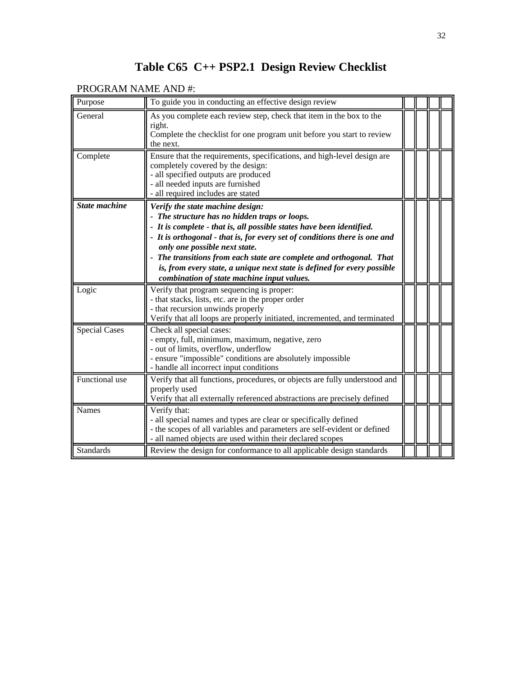## **Table C65 C++ PSP2.1 Design Review Checklist**

| Purpose              | To guide you in conducting an effective design review                                                                                                                                                                                                                                                                                                                                                                                                                   |  |  |
|----------------------|-------------------------------------------------------------------------------------------------------------------------------------------------------------------------------------------------------------------------------------------------------------------------------------------------------------------------------------------------------------------------------------------------------------------------------------------------------------------------|--|--|
| General              | As you complete each review step, check that item in the box to the<br>right.<br>Complete the checklist for one program unit before you start to review<br>the next.                                                                                                                                                                                                                                                                                                    |  |  |
| Complete             | Ensure that the requirements, specifications, and high-level design are<br>completely covered by the design:<br>- all specified outputs are produced<br>- all needed inputs are furnished<br>- all required includes are stated                                                                                                                                                                                                                                         |  |  |
| <b>State machine</b> | Verify the state machine design:<br>- The structure has no hidden traps or loops.<br>- It is complete - that is, all possible states have been identified.<br>- It is orthogonal - that is, for every set of conditions there is one and<br>only one possible next state.<br>The transitions from each state are complete and orthogonal. That<br>is, from every state, a unique next state is defined for every possible<br>combination of state machine input values. |  |  |
| Logic                | Verify that program sequencing is proper:<br>- that stacks, lists, etc. are in the proper order<br>- that recursion unwinds properly<br>Verify that all loops are properly initiated, incremented, and terminated                                                                                                                                                                                                                                                       |  |  |
| <b>Special Cases</b> | Check all special cases:<br>- empty, full, minimum, maximum, negative, zero<br>- out of limits, overflow, underflow<br>- ensure "impossible" conditions are absolutely impossible<br>- handle all incorrect input conditions                                                                                                                                                                                                                                            |  |  |
| Functional use       | Verify that all functions, procedures, or objects are fully understood and<br>properly used<br>Verify that all externally referenced abstractions are precisely defined                                                                                                                                                                                                                                                                                                 |  |  |
| <b>Names</b>         | Verify that:<br>- all special names and types are clear or specifically defined<br>- the scopes of all variables and parameters are self-evident or defined<br>- all named objects are used within their declared scopes                                                                                                                                                                                                                                                |  |  |
| <b>Standards</b>     | Review the design for conformance to all applicable design standards                                                                                                                                                                                                                                                                                                                                                                                                    |  |  |

### PROGRAM NAME AND #: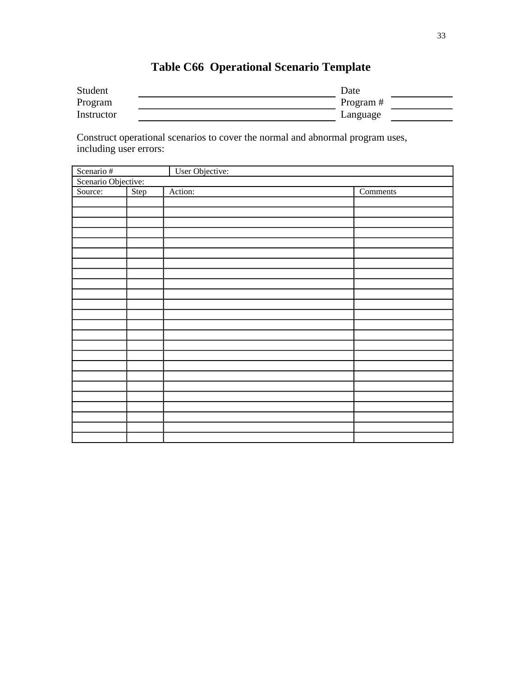# **Table C66 Operational Scenario Template**

| Student    | Date     |  |
|------------|----------|--|
| Program    | Program# |  |
| Instructor | Language |  |

Construct operational scenarios to cover the normal and abnormal program uses, including user errors:

| Scenario #          |      | User Objective: |          |
|---------------------|------|-----------------|----------|
| Scenario Objective: |      |                 |          |
| Source:             | Step | Action:         | Comments |
|                     |      |                 |          |
|                     |      |                 |          |
|                     |      |                 |          |
|                     |      |                 |          |
|                     |      |                 |          |
|                     |      |                 |          |
|                     |      |                 |          |
|                     |      |                 |          |
|                     |      |                 |          |
|                     |      |                 |          |
|                     |      |                 |          |
|                     |      |                 |          |
|                     |      |                 |          |
|                     |      |                 |          |
|                     |      |                 |          |
|                     |      |                 |          |
|                     |      |                 |          |
|                     |      |                 |          |
|                     |      |                 |          |
|                     |      |                 |          |
|                     |      |                 |          |
|                     |      |                 |          |
|                     |      |                 |          |
|                     |      |                 |          |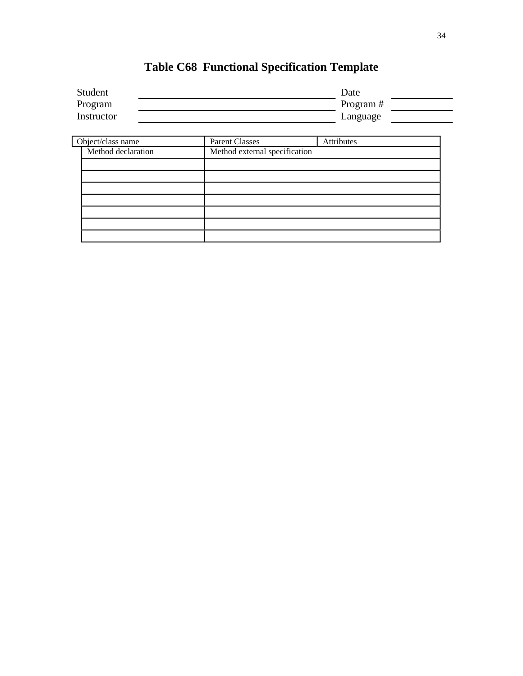# **Table C68 Functional Specification Template**

| Student    | Date      |  |
|------------|-----------|--|
| Program    | Program # |  |
| Instructor | Language  |  |

| Object/class name  | <b>Parent Classes</b>         | Attributes |
|--------------------|-------------------------------|------------|
| Method declaration | Method external specification |            |
|                    |                               |            |
|                    |                               |            |
|                    |                               |            |
|                    |                               |            |
|                    |                               |            |
|                    |                               |            |
|                    |                               |            |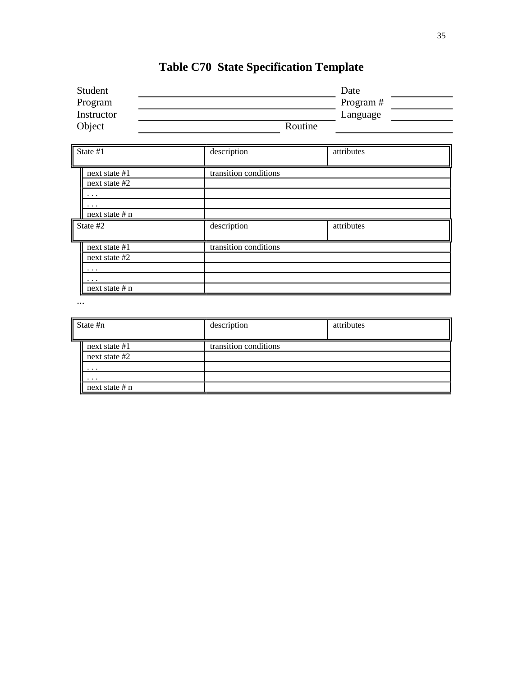# **Table C70 State Specification Template**

| Student<br>Program<br>Instructor<br>Object                               | Routine               | Date<br>Program#<br>Language |
|--------------------------------------------------------------------------|-----------------------|------------------------------|
| State #1                                                                 | description           | attributes                   |
| next state #1<br>next state #2<br>$\cdots$<br>$\cdots$<br>next state # n | transition conditions |                              |
| State #2                                                                 | description           | attributes                   |
| next state #1<br>next state #2<br>$\cdots$<br>$\cdots$                   | transition conditions |                              |
| next state # n                                                           |                       |                              |

...

| $\parallel$ State #n | description           | attributes |
|----------------------|-----------------------|------------|
| next state #1        | transition conditions |            |
| next state #2        |                       |            |
| $\cdots$             |                       |            |
| $\cdots$             |                       |            |
| next state # n       |                       |            |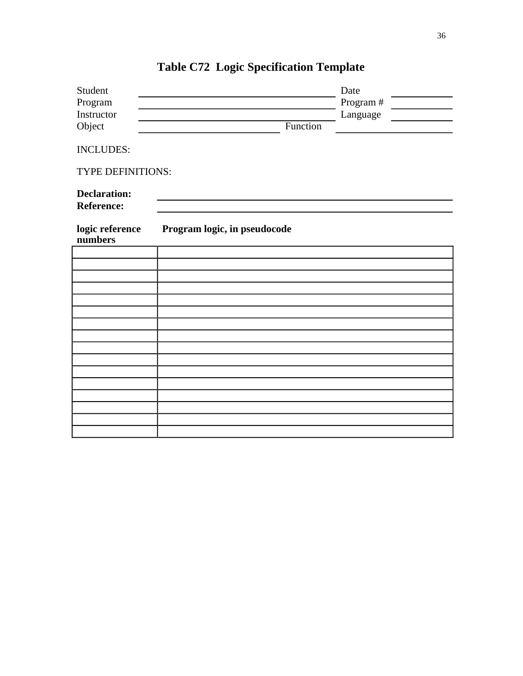| Student                                  |                              | Date      |
|------------------------------------------|------------------------------|-----------|
| Program                                  |                              | Program # |
| Instructor                               |                              | Language  |
| Object                                   | Function                     |           |
| <b>INCLUDES:</b>                         |                              |           |
| TYPE DEFINITIONS:                        |                              |           |
| <b>Declaration:</b><br><b>Reference:</b> |                              |           |
| logic reference<br>numbers               | Program logic, in pseudocode |           |
|                                          |                              |           |
|                                          |                              |           |
|                                          |                              |           |
|                                          |                              |           |
|                                          |                              |           |
|                                          |                              |           |
|                                          |                              |           |
|                                          |                              |           |
|                                          |                              |           |
|                                          |                              |           |
|                                          |                              |           |
|                                          |                              |           |
|                                          |                              |           |
|                                          |                              |           |
|                                          |                              |           |

# **Table C72 Logic Specification Template**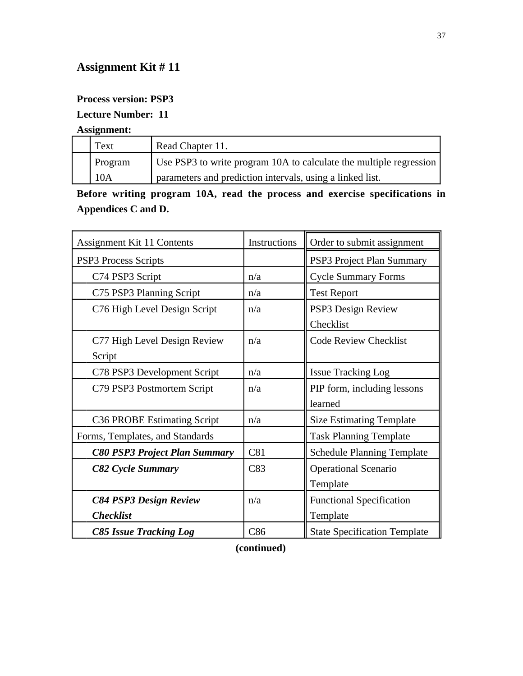#### **Process version: PSP3**

#### **Lecture Number: 11**

#### **Assignment:**

| Text    | Read Chapter 11.                                                   |
|---------|--------------------------------------------------------------------|
| Program | Use PSP3 to write program 10A to calculate the multiple regression |
| 10A     | parameters and prediction intervals, using a linked list.          |

**Before writing program 10A, read the process and exercise specifications in Appendices C and D.**

| Assignment Kit 11 Contents           | Instructions | Order to submit assignment          |
|--------------------------------------|--------------|-------------------------------------|
| <b>PSP3</b> Process Scripts          |              | PSP3 Project Plan Summary           |
| C74 PSP3 Script                      | n/a          | <b>Cycle Summary Forms</b>          |
| C75 PSP3 Planning Script             | n/a          | <b>Test Report</b>                  |
| C76 High Level Design Script         | n/a          | PSP3 Design Review                  |
|                                      |              | Checklist                           |
| C77 High Level Design Review         | n/a          | <b>Code Review Checklist</b>        |
| Script                               |              |                                     |
| C78 PSP3 Development Script          | n/a          | <b>Issue Tracking Log</b>           |
| C79 PSP3 Postmortem Script           | n/a          | PIP form, including lessons         |
|                                      |              | learned                             |
| C36 PROBE Estimating Script          | n/a          | <b>Size Estimating Template</b>     |
| Forms, Templates, and Standards      |              | <b>Task Planning Template</b>       |
| <b>C80 PSP3 Project Plan Summary</b> | C81          | <b>Schedule Planning Template</b>   |
| C82 Cycle Summary                    | C83          | <b>Operational Scenario</b>         |
|                                      |              | Template                            |
| <b>C84 PSP3 Design Review</b>        | n/a          | <b>Functional Specification</b>     |
| <b>Checklist</b>                     |              | Template                            |
| <b>C85 Issue Tracking Log</b>        | C86          | <b>State Specification Template</b> |

**(continued)**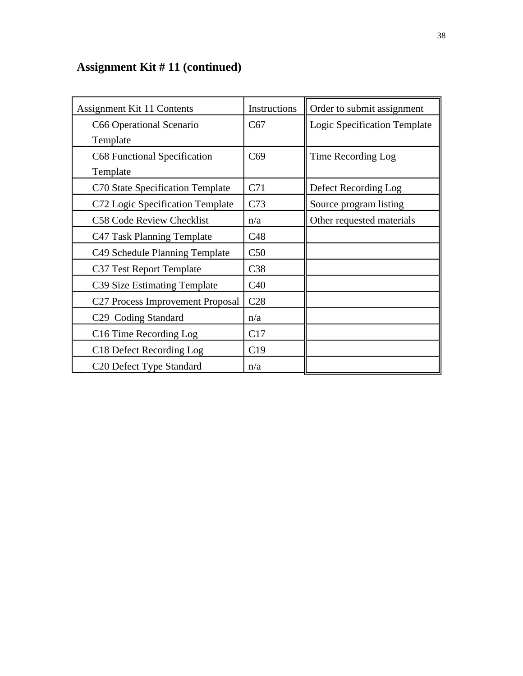# **Assignment Kit # 11 (continued)**

| Assignment Kit 11 Contents                   | Instructions    | Order to submit assignment   |
|----------------------------------------------|-----------------|------------------------------|
| C66 Operational Scenario                     | C67             | Logic Specification Template |
| Template                                     |                 |                              |
| C68 Functional Specification                 | C69             | Time Recording Log           |
| Template                                     |                 |                              |
| C70 State Specification Template             | C71             | Defect Recording Log         |
| C72 Logic Specification Template             | C <sub>73</sub> | Source program listing       |
| C58 Code Review Checklist                    | n/a             | Other requested materials    |
| C47 Task Planning Template                   | C48             |                              |
| C49 Schedule Planning Template               | C50             |                              |
| C37 Test Report Template                     | C38             |                              |
| C <sub>39</sub> Size Estimating Template     | C40             |                              |
| C <sub>27</sub> Process Improvement Proposal | C <sub>28</sub> |                              |
| C <sub>29</sub> Coding Standard              | n/a             |                              |
| C16 Time Recording Log                       | C17             |                              |
| C18 Defect Recording Log                     | C19             |                              |
| C <sub>20</sub> Defect Type Standard         | n/a             |                              |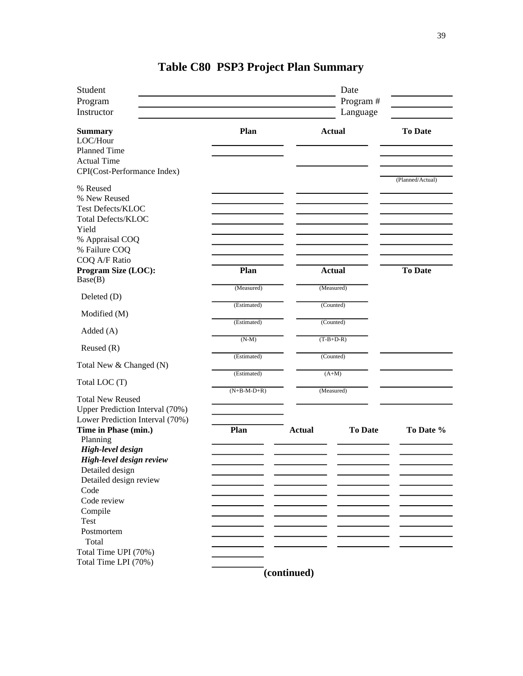| Student<br>Program<br>Instructor                                                                                        |             |               |                      | Date<br>Program#<br>Language |                  |
|-------------------------------------------------------------------------------------------------------------------------|-------------|---------------|----------------------|------------------------------|------------------|
| <b>Summary</b><br>LOC/Hour<br><b>Planned Time</b>                                                                       |             | Plan          |                      | <b>Actual</b>                | <b>To Date</b>   |
| <b>Actual Time</b><br>CPI(Cost-Performance Index)                                                                       |             |               |                      |                              |                  |
| % Reused<br>% New Reused<br>Test Defects/KLOC<br><b>Total Defects/KLOC</b><br>Yield<br>% Appraisal COQ<br>% Failure COQ |             |               |                      |                              | (Planned/Actual) |
| COQ A/F Ratio                                                                                                           |             |               |                      |                              |                  |
| Program Size (LOC):<br>Base(B)                                                                                          |             | Plan          |                      | <b>Actual</b>                | <b>To Date</b>   |
| Deleted (D)                                                                                                             |             | (Measured)    |                      | (Measured)                   |                  |
|                                                                                                                         | (Estimated) |               | (Counted)            |                              |                  |
| Modified (M)                                                                                                            |             | (Estimated)   | (Counted)            |                              |                  |
| Added(A)                                                                                                                |             |               | $(T-B+D-R)$          |                              |                  |
| Reused $(R)$                                                                                                            |             | $(N-M)$       |                      |                              |                  |
| Total New & Changed (N)                                                                                                 |             | (Estimated)   | (Counted)<br>$(A+M)$ |                              |                  |
| Total LOC (T)                                                                                                           |             | (Estimated)   |                      |                              |                  |
| <b>Total New Reused</b>                                                                                                 |             | $(N+B-M-D+R)$ |                      | (Measured)                   |                  |
| Upper Prediction Interval (70%)                                                                                         |             |               |                      |                              |                  |
| Lower Prediction Interval (70%)                                                                                         |             |               |                      |                              |                  |
| Time in Phase (min.)<br>Planning                                                                                        |             | Plan          | <b>Actual</b>        | <b>To Date</b>               | To Date %        |
| <b>High-level design</b>                                                                                                |             |               |                      |                              |                  |
| High-level design review                                                                                                |             |               |                      |                              |                  |
| Detailed design                                                                                                         |             |               |                      |                              |                  |
| Detailed design review                                                                                                  |             |               |                      |                              |                  |
| Code                                                                                                                    |             |               |                      |                              |                  |
| Code review                                                                                                             |             |               |                      |                              |                  |
| Compile<br><b>Test</b>                                                                                                  |             |               |                      |                              |                  |
|                                                                                                                         |             |               |                      |                              |                  |
| Postmortem                                                                                                              |             |               |                      |                              |                  |
| Total                                                                                                                   |             |               |                      |                              |                  |
| Total Time UPI (70%)<br>Total Time LPI (70%)                                                                            |             |               |                      |                              |                  |
|                                                                                                                         |             |               | (continued)          |                              |                  |
|                                                                                                                         |             |               |                      |                              |                  |

# **Table C80 PSP3 Project Plan Summary**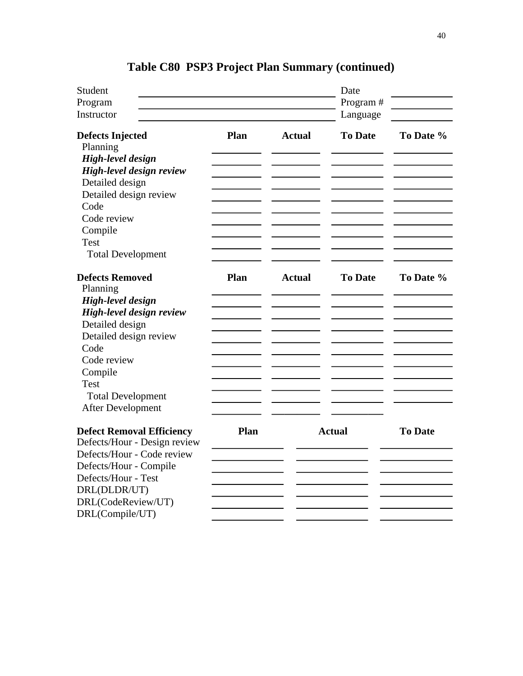| Student                                                    |      |               | Date           |                |
|------------------------------------------------------------|------|---------------|----------------|----------------|
| Program                                                    |      |               | Program#       |                |
| Instructor                                                 |      |               | Language       |                |
| <b>Defects Injected</b><br>Planning                        | Plan | <b>Actual</b> | <b>To Date</b> | To Date %      |
| High-level design                                          |      |               |                |                |
| High-level design review                                   |      |               |                |                |
| Detailed design                                            |      |               |                |                |
| Detailed design review                                     |      |               |                |                |
| Code                                                       |      |               |                |                |
| Code review                                                |      |               |                |                |
| Compile                                                    |      |               |                |                |
| Test                                                       |      |               |                |                |
| <b>Total Development</b>                                   |      |               |                |                |
| <b>Defects Removed</b>                                     | Plan | <b>Actual</b> | <b>To Date</b> | To Date %      |
| Planning                                                   |      |               |                |                |
| High-level design                                          |      |               |                |                |
| High-level design review                                   |      |               |                |                |
| Detailed design                                            |      |               |                |                |
| Detailed design review                                     |      |               |                |                |
| Code                                                       |      |               |                |                |
| Code review                                                |      |               |                |                |
| Compile                                                    |      |               |                |                |
| <b>Test</b>                                                |      |               |                |                |
| <b>Total Development</b>                                   |      |               |                |                |
| After Development                                          |      |               |                |                |
|                                                            |      |               |                |                |
| <b>Defect Removal Efficiency</b>                           | Plan |               | <b>Actual</b>  | <b>To Date</b> |
| Defects/Hour - Design review<br>Defects/Hour - Code review |      |               |                |                |
|                                                            |      |               |                |                |
| Defects/Hour - Compile<br>Defects/Hour - Test              |      |               |                |                |
|                                                            |      |               |                |                |
| DRL(DLDR/UT)                                               |      |               |                |                |
| DRL(CodeReview/UT)                                         |      |               |                |                |
| DRL(Compile/UT)                                            |      |               |                |                |

# **Table C80 PSP3 Project Plan Summary (continued)**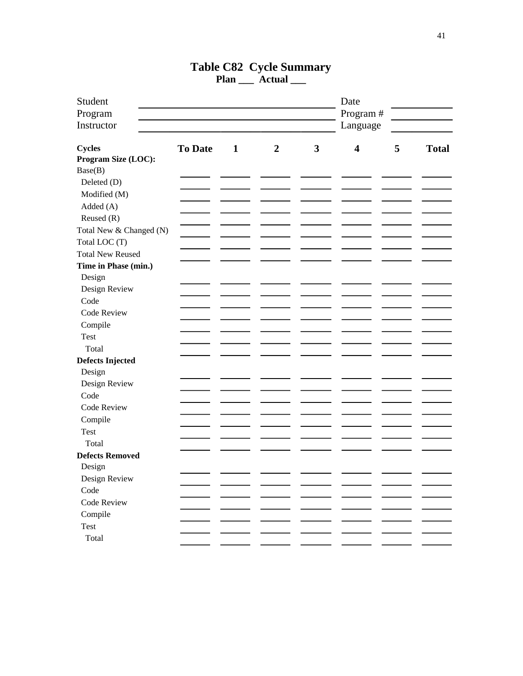| Instructor<br>Language<br>5<br><b>Cycles</b><br><b>To Date</b><br>$\boldsymbol{2}$<br>3<br>$\overline{\mathbf{4}}$<br><b>Total</b><br>$\mathbf{1}$<br>Program Size (LOC):<br>Base(B)<br>Deleted (D)<br>Modified (M)<br>Added (A)<br>Reused $(R)$<br>Total New & Changed (N)<br>Total LOC (T)<br><b>Total New Reused</b><br>Time in Phase (min.)<br>Design<br>Design Review<br>Code<br>Code Review<br>Compile<br><b>Test</b><br>Total<br><b>Defects Injected</b><br>Design<br>Design Review<br>Code<br>Code Review<br>Compile<br>Test<br>Total<br><b>Defects Removed</b><br>Design<br>Design Review<br>Code<br>Code Review<br>Compile<br>Test<br>Total | Student<br>Program |  |  | Date<br>Program# |  |
|-------------------------------------------------------------------------------------------------------------------------------------------------------------------------------------------------------------------------------------------------------------------------------------------------------------------------------------------------------------------------------------------------------------------------------------------------------------------------------------------------------------------------------------------------------------------------------------------------------------------------------------------------------|--------------------|--|--|------------------|--|
|                                                                                                                                                                                                                                                                                                                                                                                                                                                                                                                                                                                                                                                       |                    |  |  |                  |  |
|                                                                                                                                                                                                                                                                                                                                                                                                                                                                                                                                                                                                                                                       |                    |  |  |                  |  |
|                                                                                                                                                                                                                                                                                                                                                                                                                                                                                                                                                                                                                                                       |                    |  |  |                  |  |
|                                                                                                                                                                                                                                                                                                                                                                                                                                                                                                                                                                                                                                                       |                    |  |  |                  |  |
|                                                                                                                                                                                                                                                                                                                                                                                                                                                                                                                                                                                                                                                       |                    |  |  |                  |  |
|                                                                                                                                                                                                                                                                                                                                                                                                                                                                                                                                                                                                                                                       |                    |  |  |                  |  |
|                                                                                                                                                                                                                                                                                                                                                                                                                                                                                                                                                                                                                                                       |                    |  |  |                  |  |
|                                                                                                                                                                                                                                                                                                                                                                                                                                                                                                                                                                                                                                                       |                    |  |  |                  |  |
|                                                                                                                                                                                                                                                                                                                                                                                                                                                                                                                                                                                                                                                       |                    |  |  |                  |  |
|                                                                                                                                                                                                                                                                                                                                                                                                                                                                                                                                                                                                                                                       |                    |  |  |                  |  |
|                                                                                                                                                                                                                                                                                                                                                                                                                                                                                                                                                                                                                                                       |                    |  |  |                  |  |
|                                                                                                                                                                                                                                                                                                                                                                                                                                                                                                                                                                                                                                                       |                    |  |  |                  |  |
|                                                                                                                                                                                                                                                                                                                                                                                                                                                                                                                                                                                                                                                       |                    |  |  |                  |  |
|                                                                                                                                                                                                                                                                                                                                                                                                                                                                                                                                                                                                                                                       |                    |  |  |                  |  |
|                                                                                                                                                                                                                                                                                                                                                                                                                                                                                                                                                                                                                                                       |                    |  |  |                  |  |
|                                                                                                                                                                                                                                                                                                                                                                                                                                                                                                                                                                                                                                                       |                    |  |  |                  |  |
|                                                                                                                                                                                                                                                                                                                                                                                                                                                                                                                                                                                                                                                       |                    |  |  |                  |  |
|                                                                                                                                                                                                                                                                                                                                                                                                                                                                                                                                                                                                                                                       |                    |  |  |                  |  |
|                                                                                                                                                                                                                                                                                                                                                                                                                                                                                                                                                                                                                                                       |                    |  |  |                  |  |
|                                                                                                                                                                                                                                                                                                                                                                                                                                                                                                                                                                                                                                                       |                    |  |  |                  |  |
|                                                                                                                                                                                                                                                                                                                                                                                                                                                                                                                                                                                                                                                       |                    |  |  |                  |  |
|                                                                                                                                                                                                                                                                                                                                                                                                                                                                                                                                                                                                                                                       |                    |  |  |                  |  |
|                                                                                                                                                                                                                                                                                                                                                                                                                                                                                                                                                                                                                                                       |                    |  |  |                  |  |
|                                                                                                                                                                                                                                                                                                                                                                                                                                                                                                                                                                                                                                                       |                    |  |  |                  |  |
|                                                                                                                                                                                                                                                                                                                                                                                                                                                                                                                                                                                                                                                       |                    |  |  |                  |  |
|                                                                                                                                                                                                                                                                                                                                                                                                                                                                                                                                                                                                                                                       |                    |  |  |                  |  |
|                                                                                                                                                                                                                                                                                                                                                                                                                                                                                                                                                                                                                                                       |                    |  |  |                  |  |
|                                                                                                                                                                                                                                                                                                                                                                                                                                                                                                                                                                                                                                                       |                    |  |  |                  |  |
|                                                                                                                                                                                                                                                                                                                                                                                                                                                                                                                                                                                                                                                       |                    |  |  |                  |  |
|                                                                                                                                                                                                                                                                                                                                                                                                                                                                                                                                                                                                                                                       |                    |  |  |                  |  |
|                                                                                                                                                                                                                                                                                                                                                                                                                                                                                                                                                                                                                                                       |                    |  |  |                  |  |
|                                                                                                                                                                                                                                                                                                                                                                                                                                                                                                                                                                                                                                                       |                    |  |  |                  |  |
|                                                                                                                                                                                                                                                                                                                                                                                                                                                                                                                                                                                                                                                       |                    |  |  |                  |  |
|                                                                                                                                                                                                                                                                                                                                                                                                                                                                                                                                                                                                                                                       |                    |  |  |                  |  |
|                                                                                                                                                                                                                                                                                                                                                                                                                                                                                                                                                                                                                                                       |                    |  |  |                  |  |
|                                                                                                                                                                                                                                                                                                                                                                                                                                                                                                                                                                                                                                                       |                    |  |  |                  |  |

#### **Table C82 Cycle Summary Plan \_\_\_ Actual \_\_\_**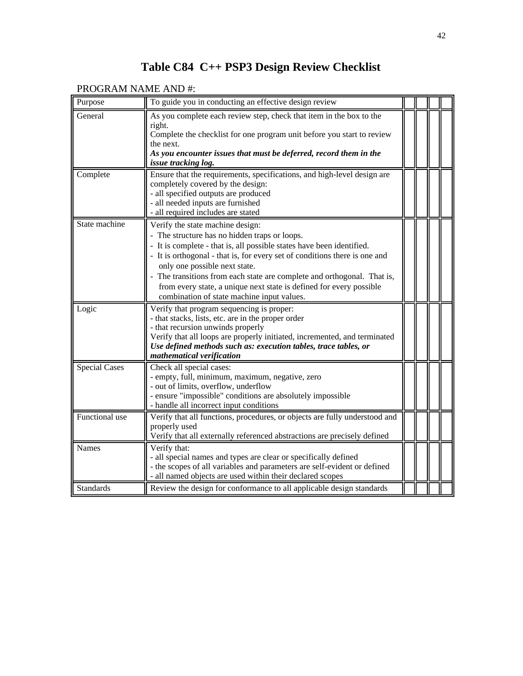## **Table C84 C++ PSP3 Design Review Checklist**

### PROGRAM NAME AND #:

| Purpose              | To guide you in conducting an effective design review                                                                                                                                                                                                                                                                                                                                                                                                                   |  |  |
|----------------------|-------------------------------------------------------------------------------------------------------------------------------------------------------------------------------------------------------------------------------------------------------------------------------------------------------------------------------------------------------------------------------------------------------------------------------------------------------------------------|--|--|
| General              | As you complete each review step, check that item in the box to the<br>right.<br>Complete the checklist for one program unit before you start to review<br>the next.<br>As you encounter issues that must be deferred, record them in the<br>issue tracking log.                                                                                                                                                                                                        |  |  |
| Complete             | Ensure that the requirements, specifications, and high-level design are<br>completely covered by the design:<br>- all specified outputs are produced<br>- all needed inputs are furnished<br>- all required includes are stated                                                                                                                                                                                                                                         |  |  |
| State machine        | Verify the state machine design:<br>- The structure has no hidden traps or loops.<br>- It is complete - that is, all possible states have been identified.<br>- It is orthogonal - that is, for every set of conditions there is one and<br>only one possible next state.<br>The transitions from each state are complete and orthogonal. That is,<br>from every state, a unique next state is defined for every possible<br>combination of state machine input values. |  |  |
| Logic                | Verify that program sequencing is proper:<br>- that stacks, lists, etc. are in the proper order<br>- that recursion unwinds properly<br>Verify that all loops are properly initiated, incremented, and terminated<br>Use defined methods such as: execution tables, trace tables, or<br>mathematical verification                                                                                                                                                       |  |  |
| <b>Special Cases</b> | Check all special cases:<br>- empty, full, minimum, maximum, negative, zero<br>- out of limits, overflow, underflow<br>- ensure "impossible" conditions are absolutely impossible<br>- handle all incorrect input conditions                                                                                                                                                                                                                                            |  |  |
| Functional use       | Verify that all functions, procedures, or objects are fully understood and<br>properly used<br>Verify that all externally referenced abstractions are precisely defined                                                                                                                                                                                                                                                                                                 |  |  |
| <b>Names</b>         | Verify that:<br>- all special names and types are clear or specifically defined<br>- the scopes of all variables and parameters are self-evident or defined<br>- all named objects are used within their declared scopes                                                                                                                                                                                                                                                |  |  |
| <b>Standards</b>     | Review the design for conformance to all applicable design standards                                                                                                                                                                                                                                                                                                                                                                                                    |  |  |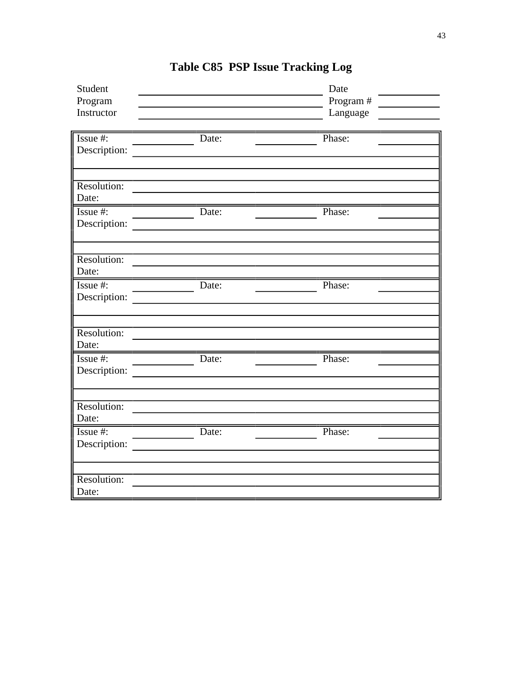| Student<br>Program<br>Instructor      |       | Date<br>Program #<br>Language |  |
|---------------------------------------|-------|-------------------------------|--|
| Issue #:<br>Description:              | Date: | Phase:                        |  |
| Resolution:<br>Date:                  |       |                               |  |
| Issue $#$ :<br>Description:           | Date: | Phase:                        |  |
| Resolution:<br>Date:                  |       |                               |  |
| Issue $#$ :<br>Description:           | Date: | Phase:                        |  |
| Resolution:<br>Date:                  |       |                               |  |
| Issue $\frac{1}{ }$ :<br>Description: | Date: | Phase:                        |  |
| Resolution:<br>Date:                  |       |                               |  |
| Issue $#$ :<br>Description:           | Date: | Phase:                        |  |
| Resolution:<br>Date:                  |       |                               |  |

# **Table C85 PSP Issue Tracking Log**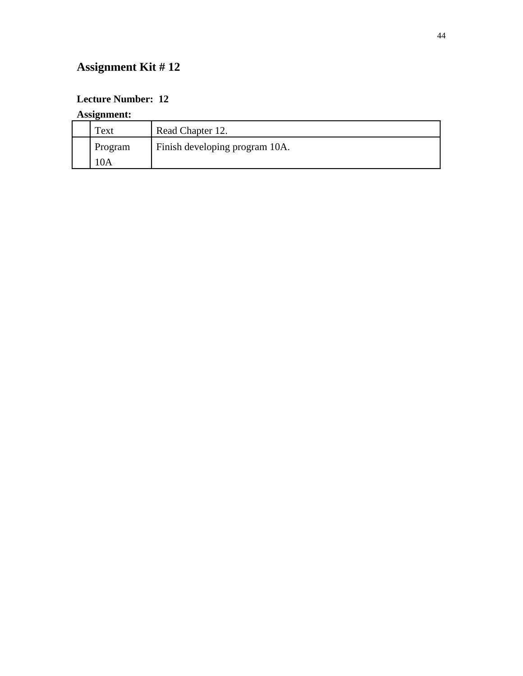### **Lecture Number: 12**

### **Assignment:**

| Text    | Read Chapter 12.               |
|---------|--------------------------------|
| Program | Finish developing program 10A. |
| 10A     |                                |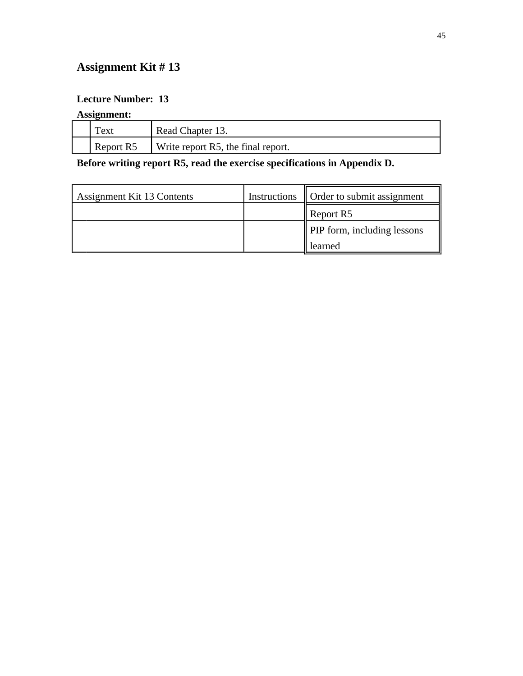#### **Lecture Number: 13**

### **Assignment:**

| Text      | Read Chapter 13.                   |
|-----------|------------------------------------|
| Report R5 | Write report R5, the final report. |

### **Before writing report R5, read the exercise specifications in Appendix D.**

| Assignment Kit 13 Contents | Instructions | <b>Order to submit assignment</b>  |
|----------------------------|--------------|------------------------------------|
|                            |              | Report R5                          |
|                            |              | <b>PIP</b> form, including lessons |
|                            |              | learned                            |